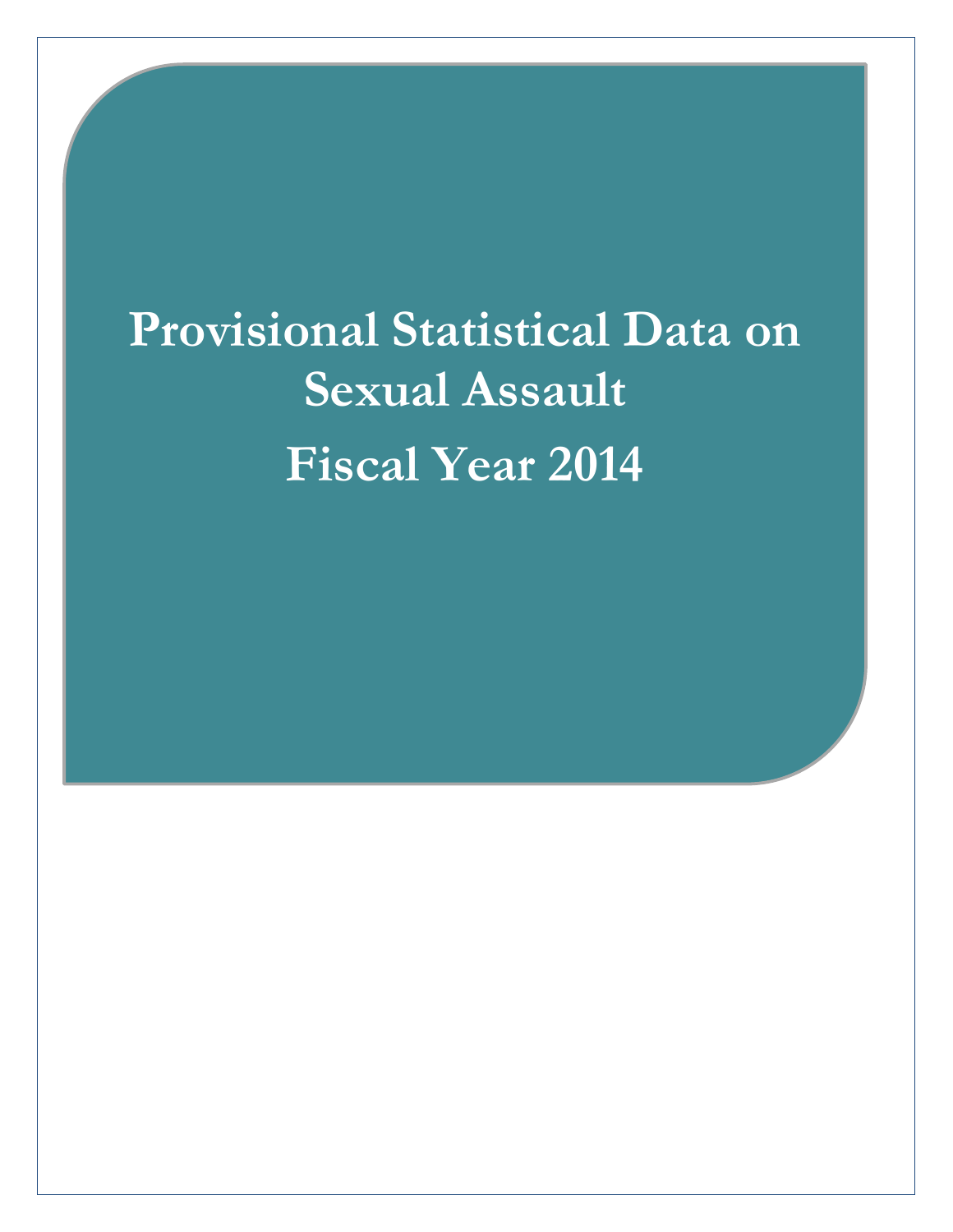# **Provided Provided Statistical Year 2014 Provisional Statistical Data on Sexual Assault**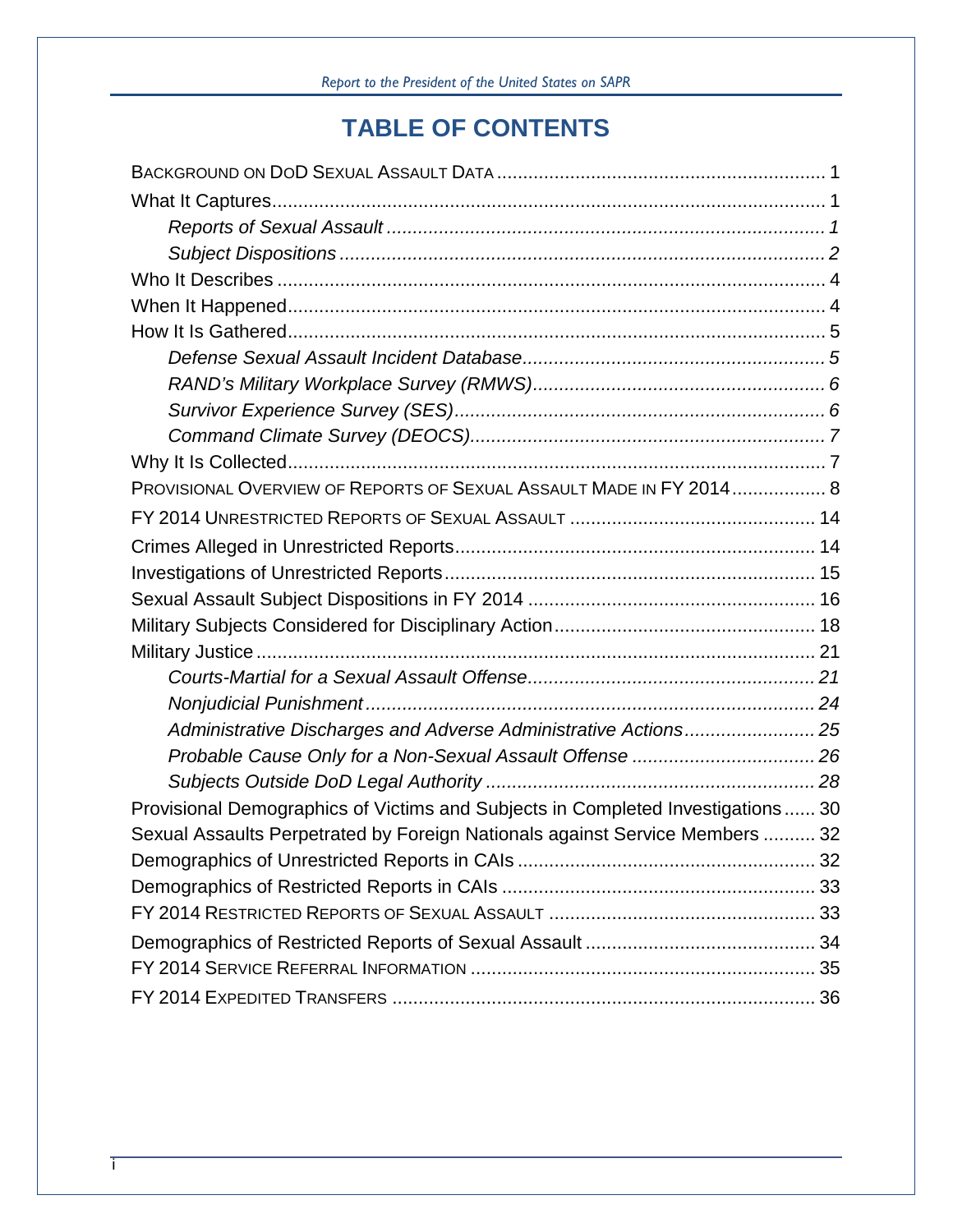# **TABLE OF CONTENTS**

| PROVISIONAL OVERVIEW OF REPORTS OF SEXUAL ASSAULT MADE IN FY 2014 8             |  |
|---------------------------------------------------------------------------------|--|
|                                                                                 |  |
|                                                                                 |  |
|                                                                                 |  |
|                                                                                 |  |
|                                                                                 |  |
|                                                                                 |  |
|                                                                                 |  |
|                                                                                 |  |
| Administrative Discharges and Adverse Administrative Actions 25                 |  |
|                                                                                 |  |
|                                                                                 |  |
| Provisional Demographics of Victims and Subjects in Completed Investigations 30 |  |
| Sexual Assaults Perpetrated by Foreign Nationals against Service Members  32    |  |
|                                                                                 |  |
|                                                                                 |  |
|                                                                                 |  |
|                                                                                 |  |
|                                                                                 |  |
|                                                                                 |  |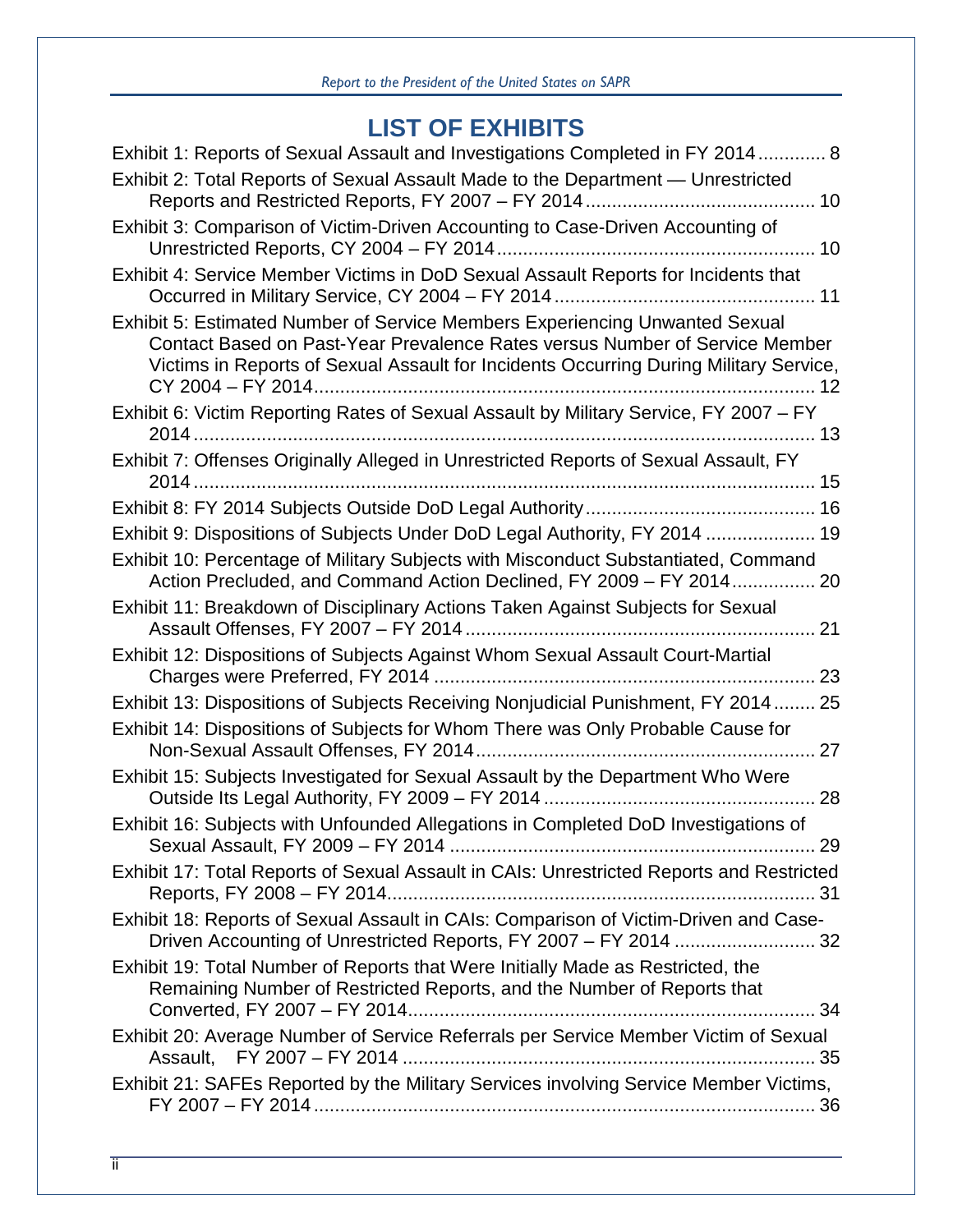# **LIST OF EXHIBITS**

| Exhibit 1: Reports of Sexual Assault and Investigations Completed in FY 2014 8<br>Exhibit 2: Total Reports of Sexual Assault Made to the Department - Unrestricted                                                                                  |
|-----------------------------------------------------------------------------------------------------------------------------------------------------------------------------------------------------------------------------------------------------|
|                                                                                                                                                                                                                                                     |
| Exhibit 3: Comparison of Victim-Driven Accounting to Case-Driven Accounting of                                                                                                                                                                      |
| Exhibit 4: Service Member Victims in DoD Sexual Assault Reports for Incidents that                                                                                                                                                                  |
| Exhibit 5: Estimated Number of Service Members Experiencing Unwanted Sexual<br>Contact Based on Past-Year Prevalence Rates versus Number of Service Member<br>Victims in Reports of Sexual Assault for Incidents Occurring During Military Service, |
| Exhibit 6: Victim Reporting Rates of Sexual Assault by Military Service, FY 2007 - FY                                                                                                                                                               |
| Exhibit 7: Offenses Originally Alleged in Unrestricted Reports of Sexual Assault, FY                                                                                                                                                                |
|                                                                                                                                                                                                                                                     |
| Exhibit 9: Dispositions of Subjects Under DoD Legal Authority, FY 2014  19                                                                                                                                                                          |
| Exhibit 10: Percentage of Military Subjects with Misconduct Substantiated, Command<br>Action Precluded, and Command Action Declined, FY 2009 - FY 2014 20                                                                                           |
| Exhibit 11: Breakdown of Disciplinary Actions Taken Against Subjects for Sexual                                                                                                                                                                     |
| Exhibit 12: Dispositions of Subjects Against Whom Sexual Assault Court-Martial                                                                                                                                                                      |
| Exhibit 13: Dispositions of Subjects Receiving Nonjudicial Punishment, FY 2014 25                                                                                                                                                                   |
| Exhibit 14: Dispositions of Subjects for Whom There was Only Probable Cause for                                                                                                                                                                     |
| Exhibit 15: Subjects Investigated for Sexual Assault by the Department Who Were                                                                                                                                                                     |
| Exhibit 16: Subjects with Unfounded Allegations in Completed DoD Investigations of                                                                                                                                                                  |
| Exhibit 17: Total Reports of Sexual Assault in CAIs: Unrestricted Reports and Restricted                                                                                                                                                            |
| Exhibit 18: Reports of Sexual Assault in CAIs: Comparison of Victim-Driven and Case-                                                                                                                                                                |
| Exhibit 19: Total Number of Reports that Were Initially Made as Restricted, the<br>Remaining Number of Restricted Reports, and the Number of Reports that                                                                                           |
| Exhibit 20: Average Number of Service Referrals per Service Member Victim of Sexual                                                                                                                                                                 |
| Exhibit 21: SAFEs Reported by the Military Services involving Service Member Victims,                                                                                                                                                               |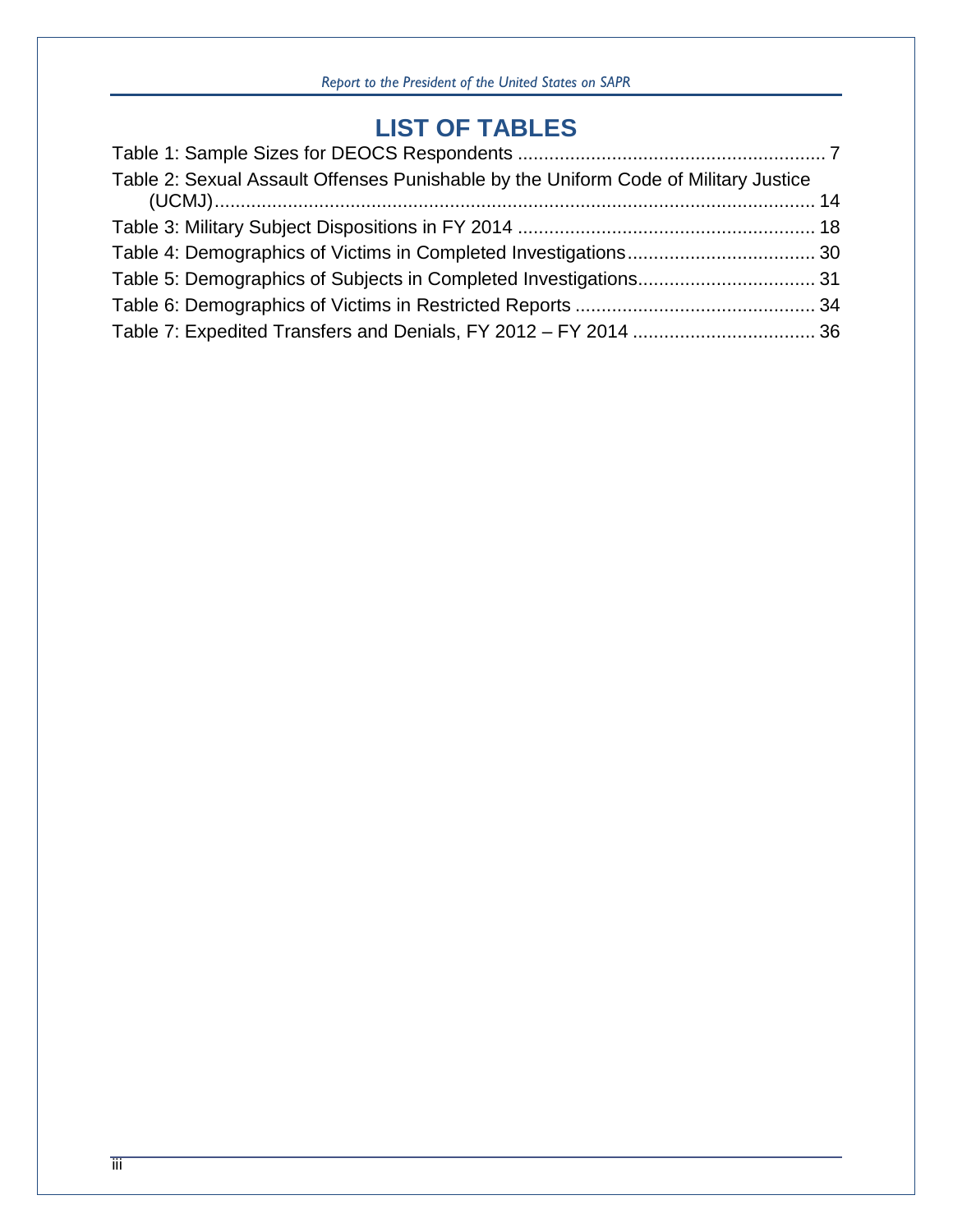# **LIST OF TABLES**

| Table 2: Sexual Assault Offenses Punishable by the Uniform Code of Military Justice |
|-------------------------------------------------------------------------------------|
|                                                                                     |
|                                                                                     |
|                                                                                     |
|                                                                                     |
|                                                                                     |
|                                                                                     |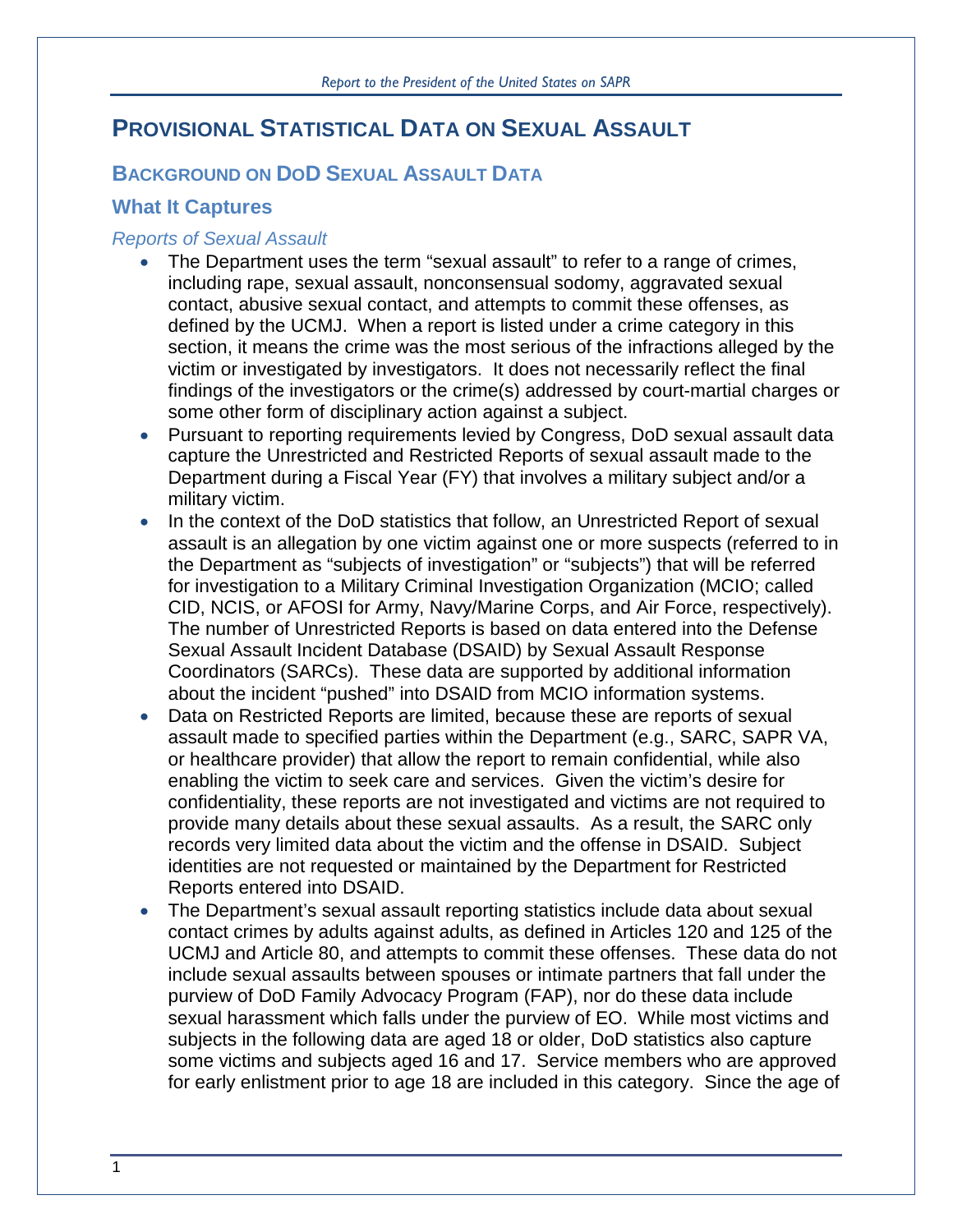# **PROVISIONAL STATISTICAL DATA ON SEXUAL ASSAULT**

# **BACKGROUND ON DOD SEXUAL ASSAULT DATA**

## **What It Captures**

#### *Reports of Sexual Assault*

- The Department uses the term "sexual assault" to refer to a range of crimes, including rape, sexual assault, nonconsensual sodomy, aggravated sexual contact, abusive sexual contact, and attempts to commit these offenses, as defined by the UCMJ. When a report is listed under a crime category in this section, it means the crime was the most serious of the infractions alleged by the victim or investigated by investigators. It does not necessarily reflect the final findings of the investigators or the crime(s) addressed by court-martial charges or some other form of disciplinary action against a subject.
- Pursuant to reporting requirements levied by Congress, DoD sexual assault data capture the Unrestricted and Restricted Reports of sexual assault made to the Department during a Fiscal Year (FY) that involves a military subject and/or a military victim.
- In the context of the DoD statistics that follow, an Unrestricted Report of sexual assault is an allegation by one victim against one or more suspects (referred to in the Department as "subjects of investigation" or "subjects") that will be referred for investigation to a Military Criminal Investigation Organization (MCIO; called CID, NCIS, or AFOSI for Army, Navy/Marine Corps, and Air Force, respectively). The number of Unrestricted Reports is based on data entered into the Defense Sexual Assault Incident Database (DSAID) by Sexual Assault Response Coordinators (SARCs). These data are supported by additional information about the incident "pushed" into DSAID from MCIO information systems.
- Data on Restricted Reports are limited, because these are reports of sexual assault made to specified parties within the Department (e.g., SARC, SAPR VA, or healthcare provider) that allow the report to remain confidential, while also enabling the victim to seek care and services. Given the victim's desire for confidentiality, these reports are not investigated and victims are not required to provide many details about these sexual assaults. As a result, the SARC only records very limited data about the victim and the offense in DSAID. Subject identities are not requested or maintained by the Department for Restricted Reports entered into DSAID.
- The Department's sexual assault reporting statistics include data about sexual contact crimes by adults against adults, as defined in Articles 120 and 125 of the UCMJ and Article 80, and attempts to commit these offenses. These data do not include sexual assaults between spouses or intimate partners that fall under the purview of DoD Family Advocacy Program (FAP), nor do these data include sexual harassment which falls under the purview of EO. While most victims and subjects in the following data are aged 18 or older, DoD statistics also capture some victims and subjects aged 16 and 17. Service members who are approved for early enlistment prior to age 18 are included in this category. Since the age of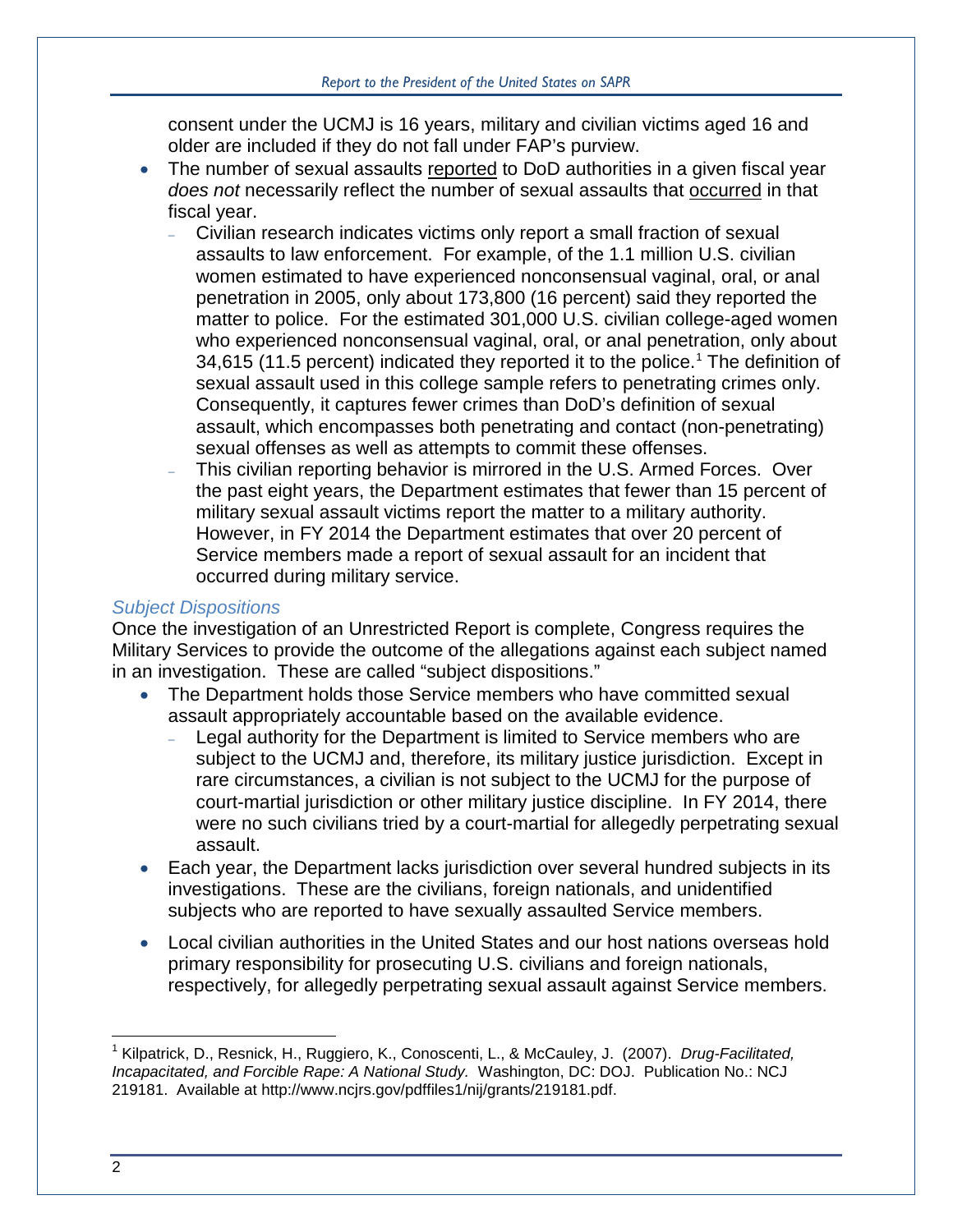consent under the UCMJ is 16 years, military and civilian victims aged 16 and older are included if they do not fall under FAP's purview.

- The number of sexual assaults reported to DoD authorities in a given fiscal year *does not* necessarily reflect the number of sexual assaults that occurred in that fiscal year.
	- <sup>−</sup> Civilian research indicates victims only report a small fraction of sexual assaults to law enforcement. For example, of the 1.1 million U.S. civilian women estimated to have experienced nonconsensual vaginal, oral, or anal penetration in 2005, only about 173,800 (16 percent) said they reported the matter to police. For the estimated 301,000 U.S. civilian college-aged women who experienced nonconsensual vaginal, oral, or anal penetration, only about 34,6[1](#page-5-0)5 (11.5 percent) indicated they reported it to the police.<sup>1</sup> The definition of sexual assault used in this college sample refers to penetrating crimes only. Consequently, it captures fewer crimes than DoD's definition of sexual assault, which encompasses both penetrating and contact (non-penetrating) sexual offenses as well as attempts to commit these offenses.
	- <sup>−</sup> This civilian reporting behavior is mirrored in the U.S. Armed Forces. Over the past eight years, the Department estimates that fewer than 15 percent of military sexual assault victims report the matter to a military authority. However, in FY 2014 the Department estimates that over 20 percent of Service members made a report of sexual assault for an incident that occurred during military service.

#### *Subject Dispositions*

Once the investigation of an Unrestricted Report is complete, Congress requires the Military Services to provide the outcome of the allegations against each subject named in an investigation. These are called "subject dispositions."

- The Department holds those Service members who have committed sexual assault appropriately accountable based on the available evidence.
	- <sup>−</sup> Legal authority for the Department is limited to Service members who are subject to the UCMJ and, therefore, its military justice jurisdiction. Except in rare circumstances, a civilian is not subject to the UCMJ for the purpose of court-martial jurisdiction or other military justice discipline. In FY 2014, there were no such civilians tried by a court-martial for allegedly perpetrating sexual assault.
- Each year, the Department lacks jurisdiction over several hundred subjects in its investigations. These are the civilians, foreign nationals, and unidentified subjects who are reported to have sexually assaulted Service members.
- Local civilian authorities in the United States and our host nations overseas hold primary responsibility for prosecuting U.S. civilians and foreign nationals, respectively, for allegedly perpetrating sexual assault against Service members.

<span id="page-5-0"></span> <sup>1</sup> Kilpatrick, D., Resnick, H., Ruggiero, K., Conoscenti, L., & McCauley, J. (2007). *Drug-Facilitated, Incapacitated, and Forcible Rape: A National Study.* Washington, DC: DOJ. Publication No.: NCJ 219181. Available at http://www.ncjrs.gov/pdffiles1/nij/grants/219181.pdf.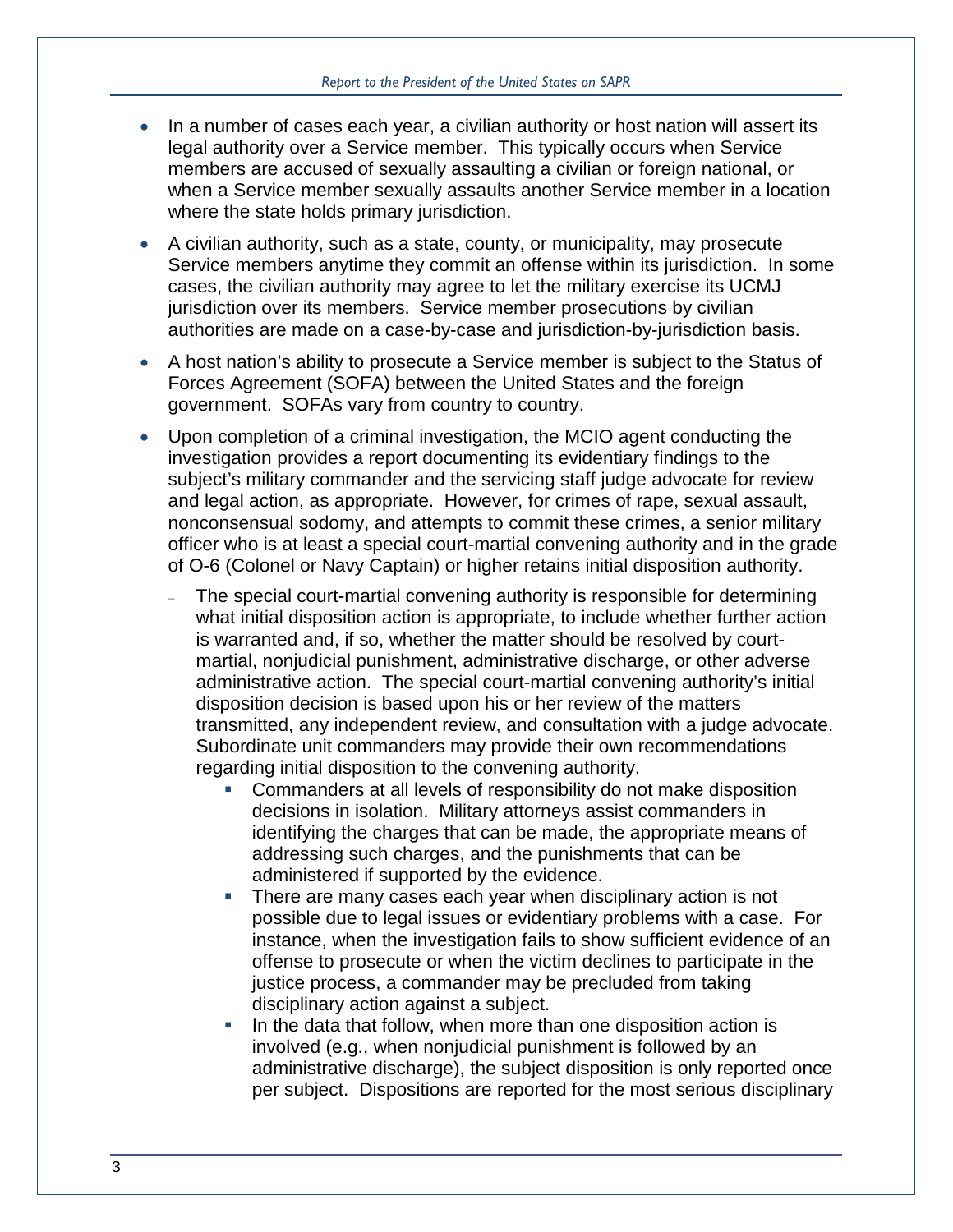- In a number of cases each year, a civilian authority or host nation will assert its legal authority over a Service member. This typically occurs when Service members are accused of sexually assaulting a civilian or foreign national, or when a Service member sexually assaults another Service member in a location where the state holds primary jurisdiction.
- A civilian authority, such as a state, county, or municipality, may prosecute Service members anytime they commit an offense within its jurisdiction. In some cases, the civilian authority may agree to let the military exercise its UCMJ jurisdiction over its members. Service member prosecutions by civilian authorities are made on a case-by-case and jurisdiction-by-jurisdiction basis.
- A host nation's ability to prosecute a Service member is subject to the Status of Forces Agreement (SOFA) between the United States and the foreign government. SOFAs vary from country to country.
- Upon completion of a criminal investigation, the MCIO agent conducting the investigation provides a report documenting its evidentiary findings to the subject's military commander and the servicing staff judge advocate for review and legal action, as appropriate. However, for crimes of rape, sexual assault, nonconsensual sodomy, and attempts to commit these crimes, a senior military officer who is at least a special court-martial convening authority and in the grade of O-6 (Colonel or Navy Captain) or higher retains initial disposition authority.
	- The special court-martial convening authority is responsible for determining what initial disposition action is appropriate, to include whether further action is warranted and, if so, whether the matter should be resolved by courtmartial, nonjudicial punishment, administrative discharge, or other adverse administrative action. The special court-martial convening authority's initial disposition decision is based upon his or her review of the matters transmitted, any independent review, and consultation with a judge advocate. Subordinate unit commanders may provide their own recommendations regarding initial disposition to the convening authority.
		- Commanders at all levels of responsibility do not make disposition decisions in isolation. Military attorneys assist commanders in identifying the charges that can be made, the appropriate means of addressing such charges, and the punishments that can be administered if supported by the evidence.
		- **There are many cases each year when disciplinary action is not** possible due to legal issues or evidentiary problems with a case. For instance, when the investigation fails to show sufficient evidence of an offense to prosecute or when the victim declines to participate in the justice process, a commander may be precluded from taking disciplinary action against a subject.
		- In the data that follow, when more than one disposition action is involved (e.g., when nonjudicial punishment is followed by an administrative discharge), the subject disposition is only reported once per subject. Dispositions are reported for the most serious disciplinary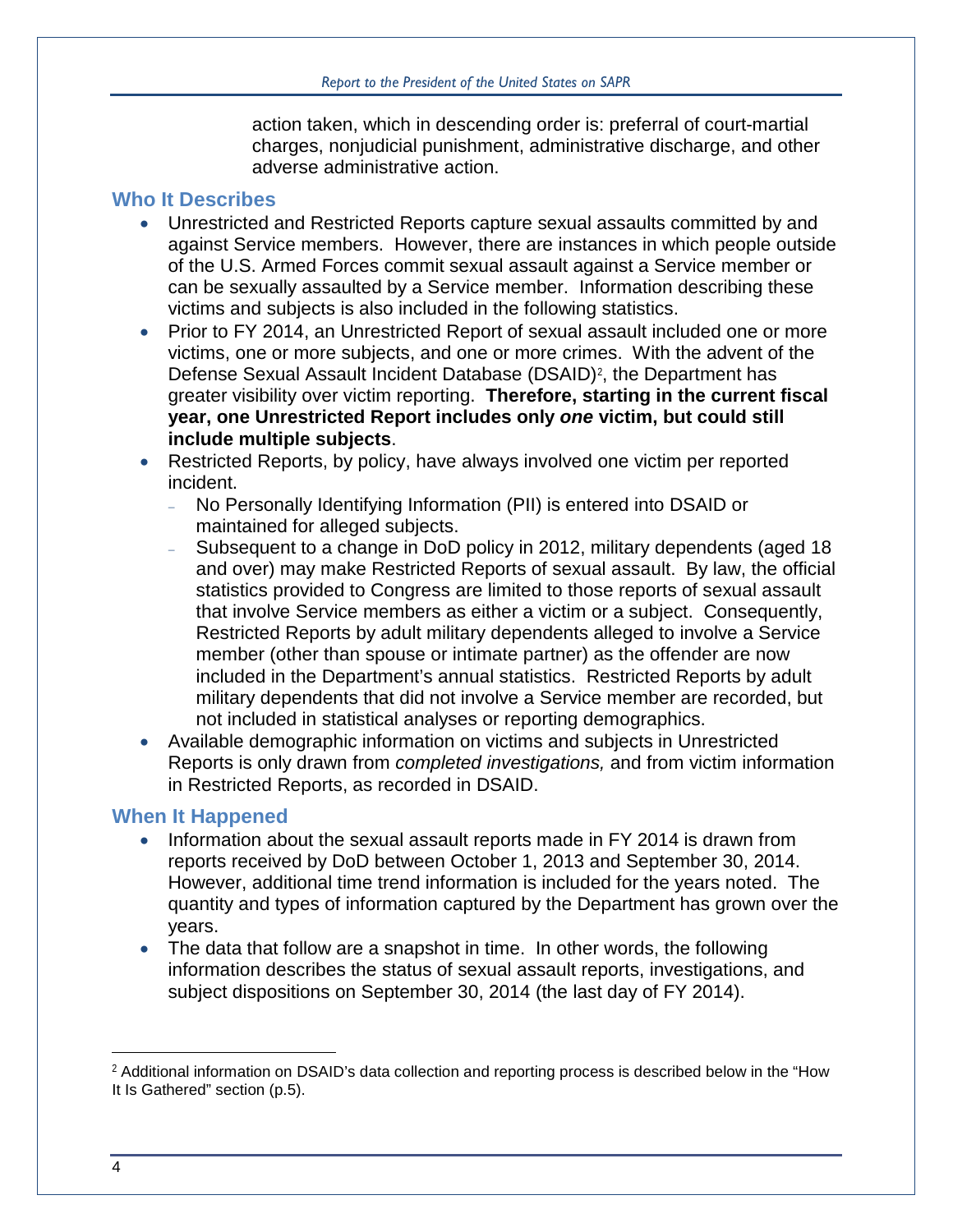action taken, which in descending order is: preferral of court-martial charges, nonjudicial punishment, administrative discharge, and other adverse administrative action.

### **Who It Describes**

- Unrestricted and Restricted Reports capture sexual assaults committed by and against Service members. However, there are instances in which people outside of the U.S. Armed Forces commit sexual assault against a Service member or can be sexually assaulted by a Service member. Information describing these victims and subjects is also included in the following statistics.
- Prior to FY 2014, an Unrestricted Report of sexual assault included one or more victims, one or more subjects, and one or more crimes. With the advent of the Defense Sexual Assault Incident Database (DSAID)<sup>[2](#page-7-0)</sup>, the Department has greater visibility over victim reporting. **Therefore, starting in the current fiscal year, one Unrestricted Report includes only** *one* **victim, but could still include multiple subjects**.
- Restricted Reports, by policy, have always involved one victim per reported incident.
	- <sup>−</sup> No Personally Identifying Information (PII) is entered into DSAID or maintained for alleged subjects.
	- Subsequent to a change in DoD policy in 2012, military dependents (aged 18 and over) may make Restricted Reports of sexual assault. By law, the official statistics provided to Congress are limited to those reports of sexual assault that involve Service members as either a victim or a subject. Consequently, Restricted Reports by adult military dependents alleged to involve a Service member (other than spouse or intimate partner) as the offender are now included in the Department's annual statistics. Restricted Reports by adult military dependents that did not involve a Service member are recorded, but not included in statistical analyses or reporting demographics.
- Available demographic information on victims and subjects in Unrestricted Reports is only drawn from *completed investigations,* and from victim information in Restricted Reports, as recorded in DSAID.

## **When It Happened**

- Information about the sexual assault reports made in FY 2014 is drawn from reports received by DoD between October 1, 2013 and September 30, 2014. However, additional time trend information is included for the years noted. The quantity and types of information captured by the Department has grown over the years.
- The data that follow are a snapshot in time. In other words, the following information describes the status of sexual assault reports, investigations, and subject dispositions on September 30, 2014 (the last day of FY 2014).

 $\overline{a}$ 

<span id="page-7-0"></span><sup>&</sup>lt;sup>2</sup> Additional information on DSAID's data collection and reporting process is described below in the "How It Is Gathered" section (p.5).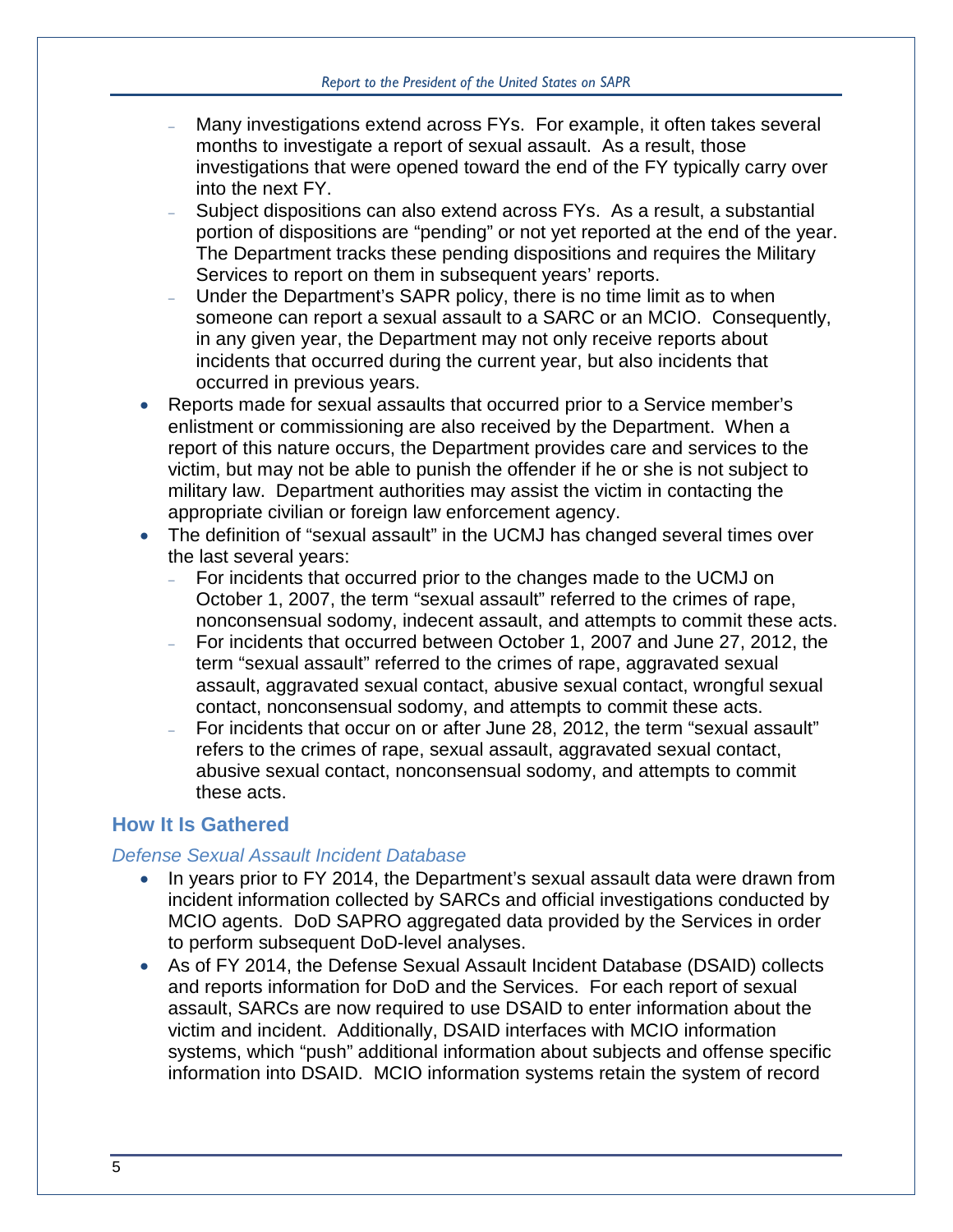- Many investigations extend across FYs. For example, it often takes several months to investigate a report of sexual assault. As a result, those investigations that were opened toward the end of the FY typically carry over into the next FY.
- <sup>−</sup> Subject dispositions can also extend across FYs. As a result, a substantial portion of dispositions are "pending" or not yet reported at the end of the year. The Department tracks these pending dispositions and requires the Military Services to report on them in subsequent years' reports.
- Under the Department's SAPR policy, there is no time limit as to when someone can report a sexual assault to a SARC or an MCIO. Consequently, in any given year, the Department may not only receive reports about incidents that occurred during the current year, but also incidents that occurred in previous years.
- Reports made for sexual assaults that occurred prior to a Service member's enlistment or commissioning are also received by the Department. When a report of this nature occurs, the Department provides care and services to the victim, but may not be able to punish the offender if he or she is not subject to military law. Department authorities may assist the victim in contacting the appropriate civilian or foreign law enforcement agency.
- The definition of "sexual assault" in the UCMJ has changed several times over the last several years:
	- <sup>−</sup> For incidents that occurred prior to the changes made to the UCMJ on October 1, 2007, the term "sexual assault" referred to the crimes of rape, nonconsensual sodomy, indecent assault, and attempts to commit these acts.
	- <sup>−</sup> For incidents that occurred between October 1, 2007 and June 27, 2012, the term "sexual assault" referred to the crimes of rape, aggravated sexual assault, aggravated sexual contact, abusive sexual contact, wrongful sexual contact, nonconsensual sodomy, and attempts to commit these acts.
	- <sup>−</sup> For incidents that occur on or after June 28, 2012, the term "sexual assault" refers to the crimes of rape, sexual assault, aggravated sexual contact, abusive sexual contact, nonconsensual sodomy, and attempts to commit these acts.

## **How It Is Gathered**

#### *Defense Sexual Assault Incident Database*

- In years prior to FY 2014, the Department's sexual assault data were drawn from incident information collected by SARCs and official investigations conducted by MCIO agents. DoD SAPRO aggregated data provided by the Services in order to perform subsequent DoD-level analyses.
- As of FY 2014, the Defense Sexual Assault Incident Database (DSAID) collects and reports information for DoD and the Services. For each report of sexual assault, SARCs are now required to use DSAID to enter information about the victim and incident. Additionally, DSAID interfaces with MCIO information systems, which "push" additional information about subjects and offense specific information into DSAID. MCIO information systems retain the system of record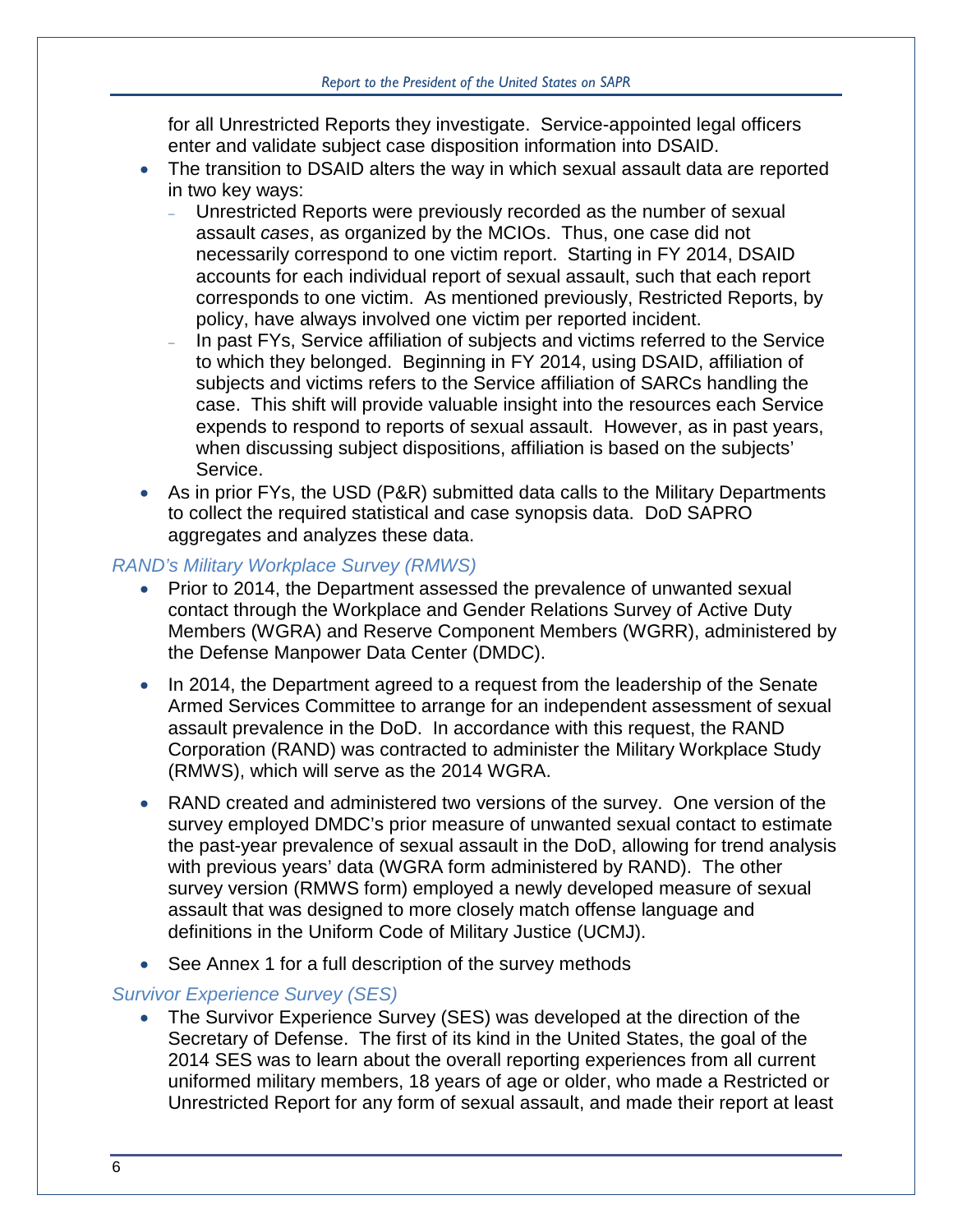for all Unrestricted Reports they investigate. Service-appointed legal officers enter and validate subject case disposition information into DSAID.

- The transition to DSAID alters the way in which sexual assault data are reported in two key ways:
	- <sup>−</sup> Unrestricted Reports were previously recorded as the number of sexual assault *cases*, as organized by the MCIOs. Thus, one case did not necessarily correspond to one victim report. Starting in FY 2014, DSAID accounts for each individual report of sexual assault, such that each report corresponds to one victim. As mentioned previously, Restricted Reports, by policy, have always involved one victim per reported incident.
	- In past FYs, Service affiliation of subjects and victims referred to the Service to which they belonged. Beginning in FY 2014, using DSAID, affiliation of subjects and victims refers to the Service affiliation of SARCs handling the case. This shift will provide valuable insight into the resources each Service expends to respond to reports of sexual assault. However, as in past years, when discussing subject dispositions, affiliation is based on the subjects' Service.
- As in prior FYs, the USD (P&R) submitted data calls to the Military Departments to collect the required statistical and case synopsis data. DoD SAPRO aggregates and analyzes these data.

#### *RAND's Military Workplace Survey (RMWS)*

- Prior to 2014, the Department assessed the prevalence of unwanted sexual contact through the Workplace and Gender Relations Survey of Active Duty Members (WGRA) and Reserve Component Members (WGRR), administered by the Defense Manpower Data Center (DMDC).
- In 2014, the Department agreed to a request from the leadership of the Senate Armed Services Committee to arrange for an independent assessment of sexual assault prevalence in the DoD. In accordance with this request, the RAND Corporation (RAND) was contracted to administer the Military Workplace Study (RMWS), which will serve as the 2014 WGRA.
- RAND created and administered two versions of the survey. One version of the survey employed DMDC's prior measure of unwanted sexual contact to estimate the past-year prevalence of sexual assault in the DoD, allowing for trend analysis with previous years' data (WGRA form administered by RAND). The other survey version (RMWS form) employed a newly developed measure of sexual assault that was designed to more closely match offense language and definitions in the Uniform Code of Military Justice (UCMJ).
- See Annex 1 for a full description of the survey methods

#### *Survivor Experience Survey (SES)*

• The Survivor Experience Survey (SES) was developed at the direction of the Secretary of Defense. The first of its kind in the United States, the goal of the 2014 SES was to learn about the overall reporting experiences from all current uniformed military members, 18 years of age or older, who made a Restricted or Unrestricted Report for any form of sexual assault, and made their report at least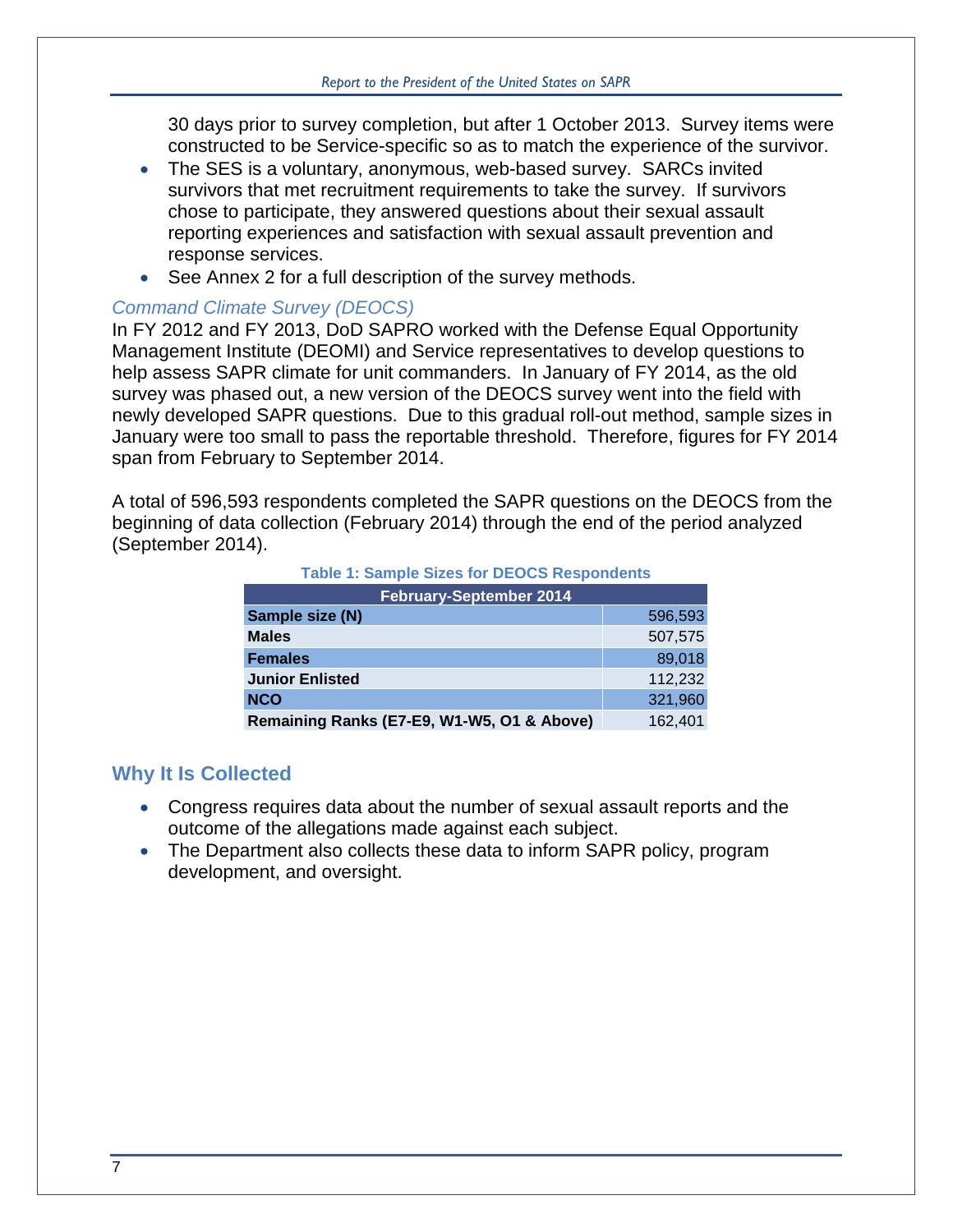30 days prior to survey completion, but after 1 October 2013. Survey items were constructed to be Service-specific so as to match the experience of the survivor.

- The SES is a voluntary, anonymous, web-based survey. SARCs invited survivors that met recruitment requirements to take the survey. If survivors chose to participate, they answered questions about their sexual assault reporting experiences and satisfaction with sexual assault prevention and response services.
- See Annex 2 for a full description of the survey methods.

#### *Command Climate Survey (DEOCS)*

In FY 2012 and FY 2013, DoD SAPRO worked with the Defense Equal Opportunity Management Institute (DEOMI) and Service representatives to develop questions to help assess SAPR climate for unit commanders. In January of FY 2014, as the old survey was phased out, a new version of the DEOCS survey went into the field with newly developed SAPR questions. Due to this gradual roll-out method, sample sizes in January were too small to pass the reportable threshold. Therefore, figures for FY 2014 span from February to September 2014.

<span id="page-10-0"></span>A total of 596,593 respondents completed the SAPR questions on the DEOCS from the beginning of data collection (February 2014) through the end of the period analyzed (September 2014).

| Table 1. Sallible Sizes for DEOCS Respondents |         |  |  |  |
|-----------------------------------------------|---------|--|--|--|
| <b>February-September 2014</b>                |         |  |  |  |
| Sample size (N)                               | 596,593 |  |  |  |
| <b>Males</b>                                  | 507,575 |  |  |  |
| <b>Females</b>                                | 89,018  |  |  |  |
| <b>Junior Enlisted</b>                        | 112,232 |  |  |  |
| <b>NCO</b>                                    | 321,960 |  |  |  |
| Remaining Ranks (E7-E9, W1-W5, O1 & Above)    | 162,401 |  |  |  |

#### **Table 1: Sample Sizes for DEOCS Respondents**

#### **Why It Is Collected**

- Congress requires data about the number of sexual assault reports and the outcome of the allegations made against each subject.
- The Department also collects these data to inform SAPR policy, program development, and oversight.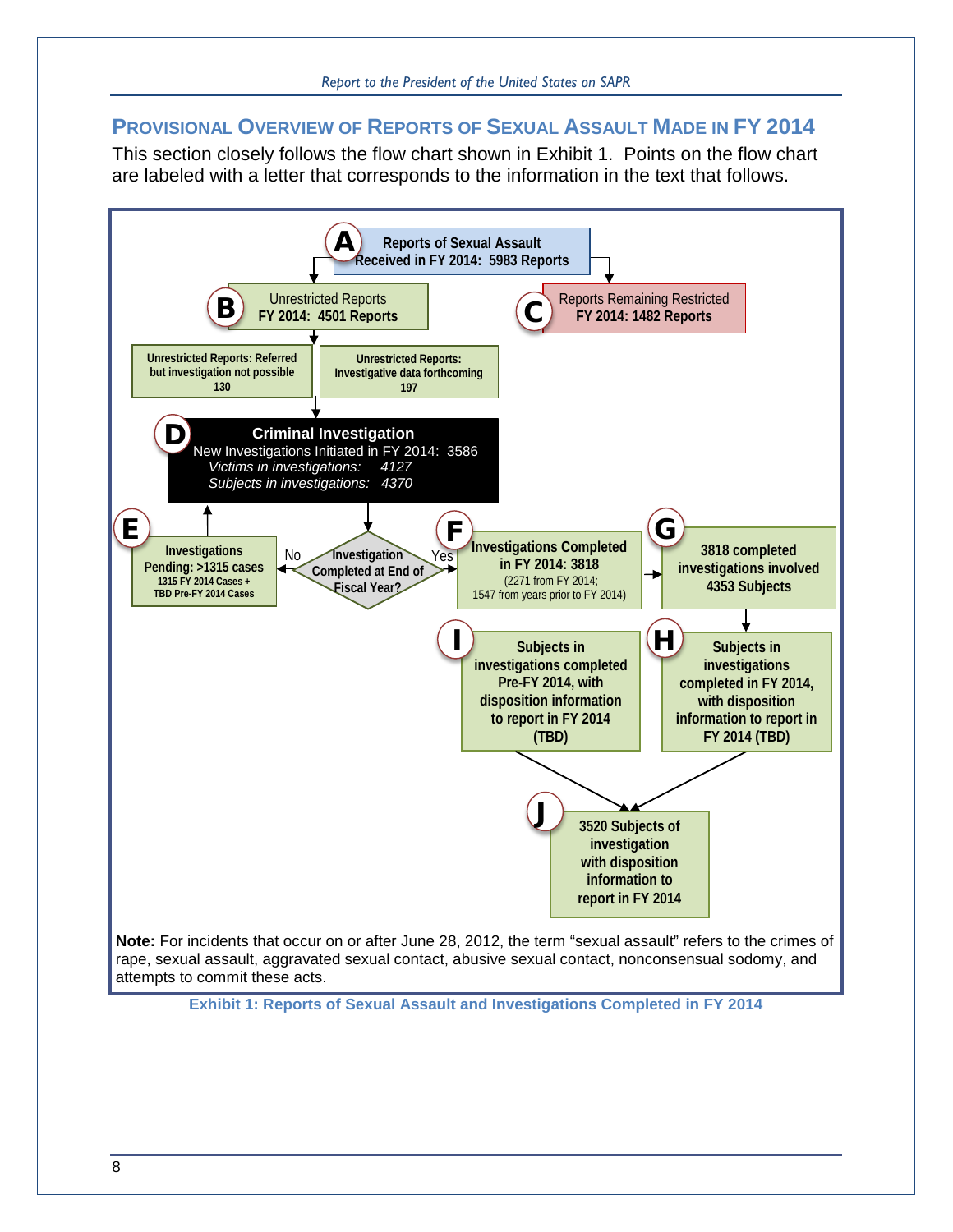## **PROVISIONAL OVERVIEW OF REPORTS OF SEXUAL ASSAULT MADE IN FY 2014**

This section closely follows the flow chart shown in [Exhibit 1.](#page-11-0) Points on the flow chart are labeled with a letter that corresponds to the information in the text that follows.

<span id="page-11-0"></span>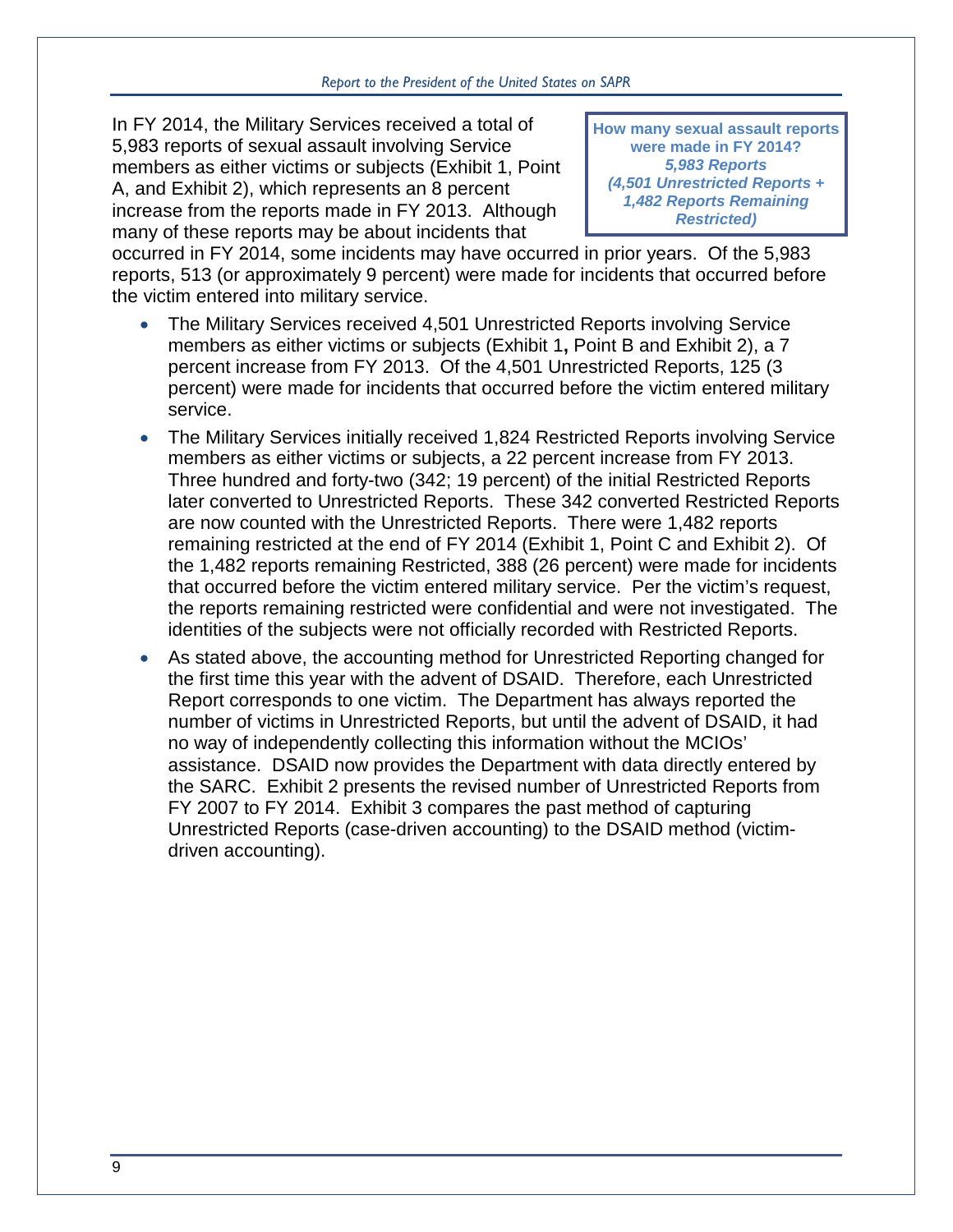In FY 2014, the Military Services received a total of 5,983 reports of sexual assault involving Service members as either victims or subjects [\(Exhibit 1,](#page-11-0) Point A, and [Exhibit 2\)](#page-13-0), which represents an 8 percent increase from the reports made in FY 2013. Although many of these reports may be about incidents that

**How many sexual assault reports were made in FY 2014?**  *5,983 Reports (4,501 Unrestricted Reports + 1,482 Reports Remaining Restricted)*

occurred in FY 2014, some incidents may have occurred in prior years. Of the 5,983 reports, 513 (or approximately 9 percent) were made for incidents that occurred before the victim entered into military service.

- The Military Services received 4,501 Unrestricted Reports involving Service members as either victims or subjects [\(Exhibit 1](#page-11-0)**,** Point B and [Exhibit 2\)](#page-13-0), a 7 percent increase from FY 2013. Of the 4,501 Unrestricted Reports, 125 (3 percent) were made for incidents that occurred before the victim entered military service.
- The Military Services initially received 1,824 Restricted Reports involving Service members as either victims or subjects, a 22 percent increase from FY 2013. Three hundred and forty-two (342; 19 percent) of the initial Restricted Reports later converted to Unrestricted Reports. These 342 converted Restricted Reports are now counted with the Unrestricted Reports. There were 1,482 reports remaining restricted at the end of FY 2014 [\(Exhibit 1,](#page-11-0) Point C and [Exhibit 2\)](#page-13-0). Of the 1,482 reports remaining Restricted, 388 (26 percent) were made for incidents that occurred before the victim entered military service. Per the victim's request, the reports remaining restricted were confidential and were not investigated. The identities of the subjects were not officially recorded with Restricted Reports.
- As stated above, the accounting method for Unrestricted Reporting changed for the first time this year with the advent of DSAID. Therefore, each Unrestricted Report corresponds to one victim. The Department has always reported the number of victims in Unrestricted Reports, but until the advent of DSAID, it had no way of independently collecting this information without the MCIOs' assistance. DSAID now provides the Department with data directly entered by the SARC. [Exhibit 2](#page-13-0) presents the revised number of Unrestricted Reports from FY 2007 to FY 2014. [Exhibit 3](#page-13-1) compares the past method of capturing Unrestricted Reports (case-driven accounting) to the DSAID method (victimdriven accounting).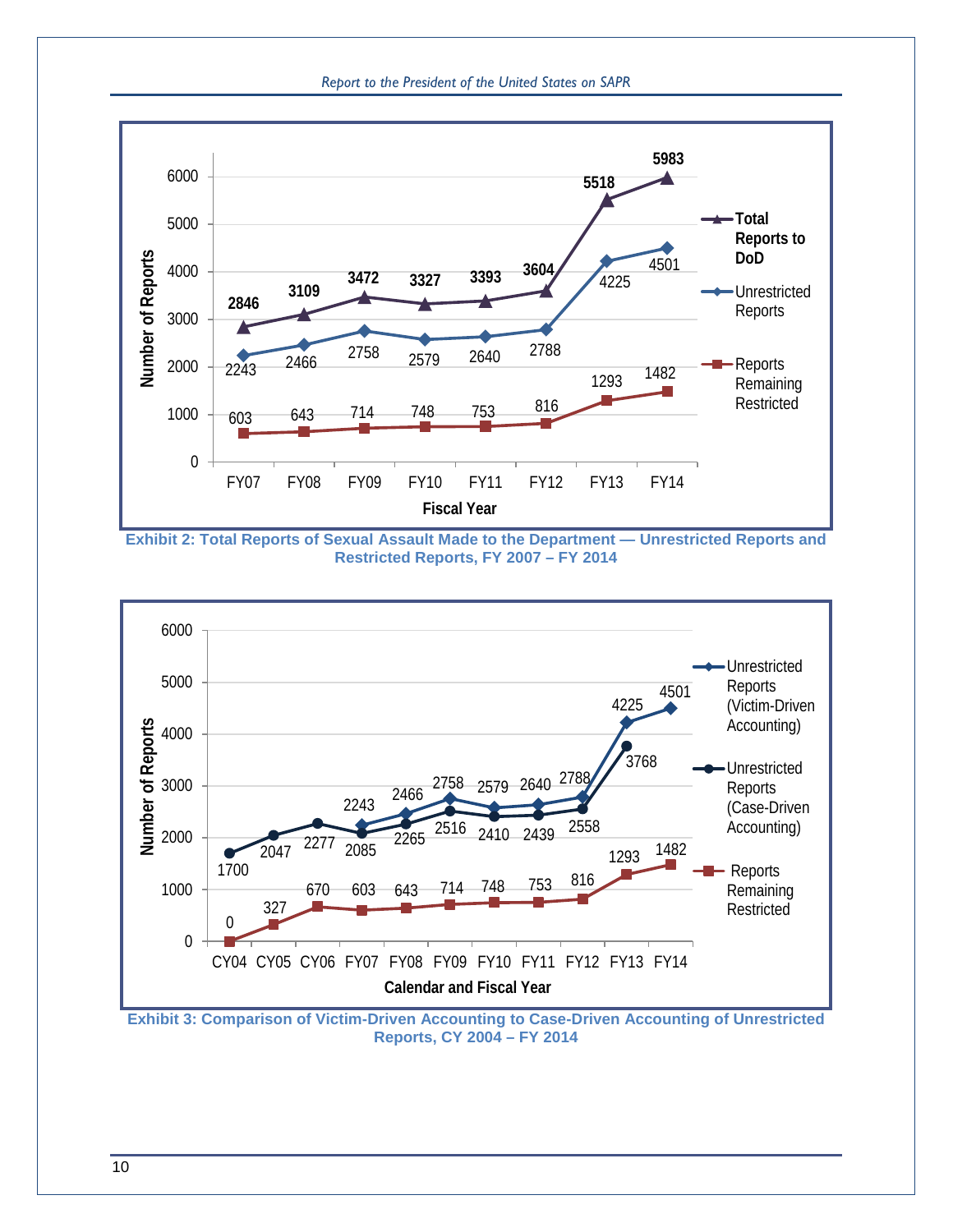



<span id="page-13-0"></span>**Exhibit 2: Total Reports of Sexual Assault Made to the Department — Unrestricted Reports and Restricted Reports, FY 2007 – FY 2014**



<span id="page-13-1"></span>**Exhibit 3: Comparison of Victim-Driven Accounting to Case-Driven Accounting of Unrestricted Reports, CY 2004 – FY 2014**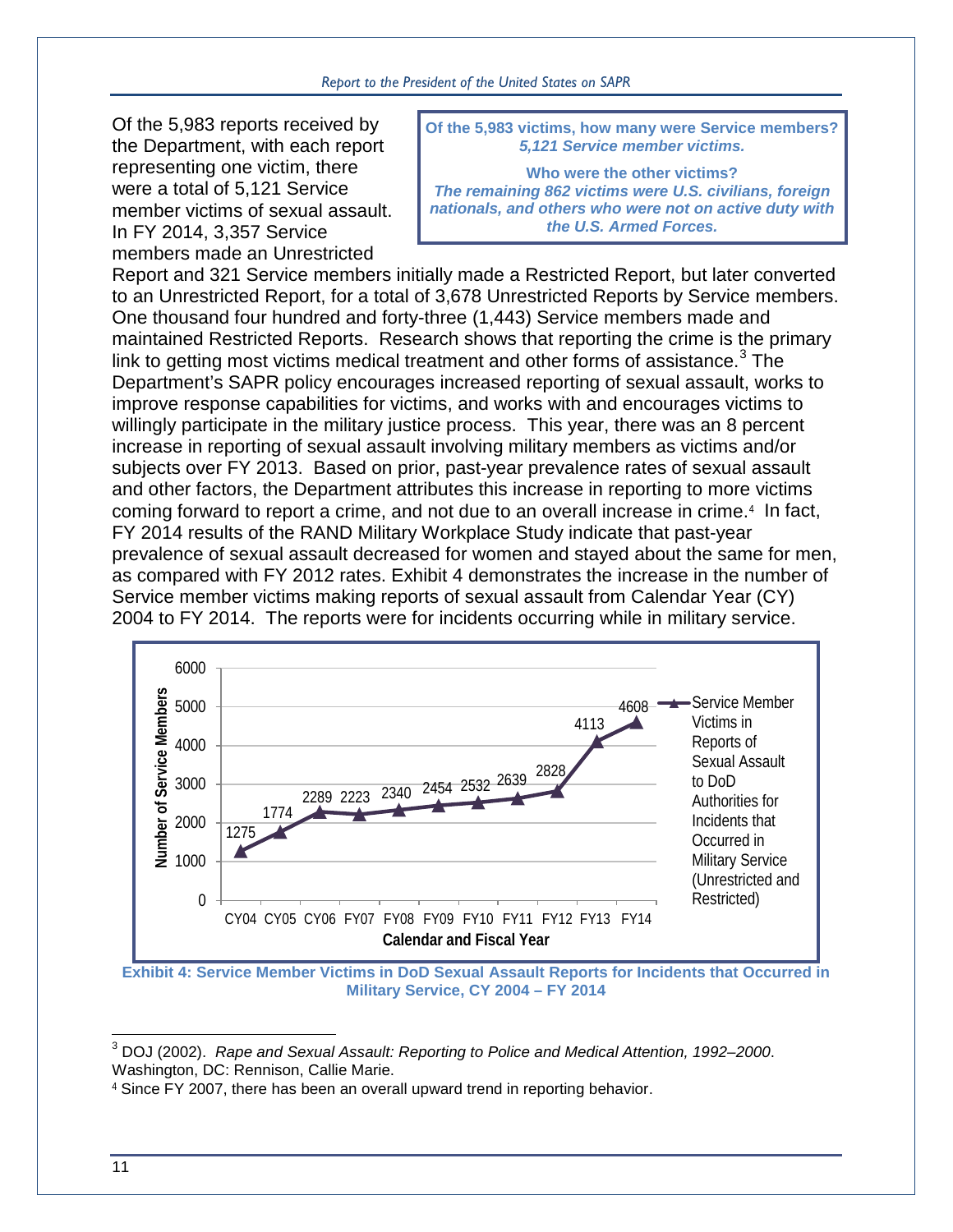Of the 5,983 reports received by the Department, with each report representing one victim, there were a total of 5,121 Service member victims of sexual assault. In FY 2014, 3,357 Service members made an Unrestricted

**Of the 5,983 victims, how many were Service members?** *5,121 Service member victims.* 

**Who were the other victims?** *The remaining 862 victims were U.S. civilians, foreign nationals, and others who were not on active duty with the U.S. Armed Forces.* 

Report and 321 Service members initially made a Restricted Report, but later converted to an Unrestricted Report, for a total of 3,678 Unrestricted Reports by Service members. One thousand four hundred and forty-three (1,443) Service members made and maintained Restricted Reports. Research shows that reporting the crime is the primary link to getting most victims medical treatment and other forms of assistance.<sup>[3](#page-14-1)</sup> The Department's SAPR policy encourages increased reporting of sexual assault, works to improve response capabilities for victims, and works with and encourages victims to willingly participate in the military justice process. This year, there was an 8 percent increase in reporting of sexual assault involving military members as victims and/or subjects over FY 2013. Based on prior, past-year prevalence rates of sexual assault and other factors, the Department attributes this increase in reporting to more victims coming forward to report a crime, and not due to an overall increase in crime.[4](#page-14-2) In fact, FY 2014 results of the RAND Military Workplace Study indicate that past-year prevalence of sexual assault decreased for women and stayed about the same for men, as compared with FY 2012 rates. [Exhibit 4](#page-14-0) demonstrates the increase in the number of Service member victims making reports of sexual assault from Calendar Year (CY) 2004 to FY 2014. The reports were for incidents occurring while in military service.



<span id="page-14-0"></span>**Exhibit 4: Service Member Victims in DoD Sexual Assault Reports for Incidents that Occurred in Military Service, CY 2004 – FY 2014**

 $\overline{a}$ 

<span id="page-14-1"></span><sup>3</sup> DOJ (2002). *Rape and Sexual Assault: Reporting to Police and Medical Attention, 1992–2000*. Washington, DC: Rennison, Callie Marie.

<span id="page-14-2"></span><sup>4</sup> Since FY 2007, there has been an overall upward trend in reporting behavior.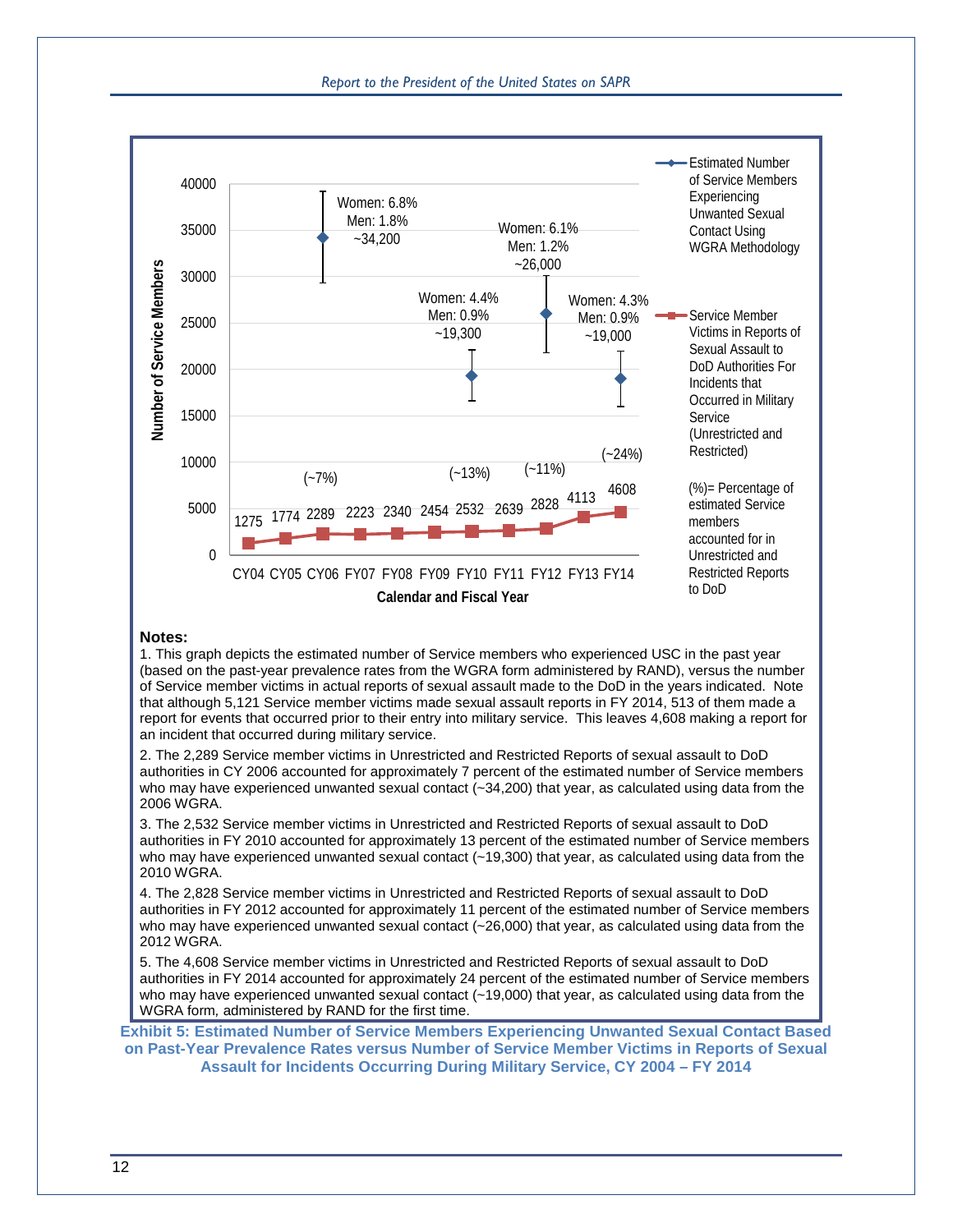#### *Report to the President of the United States on SAPR*



#### **Notes:**

1. This graph depicts the estimated number of Service members who experienced USC in the past year (based on the past-year prevalence rates from the WGRA form administered by RAND), versus the number of Service member victims in actual reports of sexual assault made to the DoD in the years indicated. Note that although 5,121 Service member victims made sexual assault reports in FY 2014, 513 of them made a report for events that occurred prior to their entry into military service. This leaves 4,608 making a report for an incident that occurred during military service.

2. The 2,289 Service member victims in Unrestricted and Restricted Reports of sexual assault to DoD authorities in CY 2006 accounted for approximately 7 percent of the estimated number of Service members who may have experienced unwanted sexual contact (~34,200) that year, as calculated using data from the 2006 WGRA.

3. The 2,532 Service member victims in Unrestricted and Restricted Reports of sexual assault to DoD authorities in FY 2010 accounted for approximately 13 percent of the estimated number of Service members who may have experienced unwanted sexual contact (~19,300) that year, as calculated using data from the 2010 WGRA.

4. The 2,828 Service member victims in Unrestricted and Restricted Reports of sexual assault to DoD authorities in FY 2012 accounted for approximately 11 percent of the estimated number of Service members who may have experienced unwanted sexual contact (~26,000) that year, as calculated using data from the 2012 WGRA.

5. The 4,608 Service member victims in Unrestricted and Restricted Reports of sexual assault to DoD authorities in FY 2014 accounted for approximately 24 percent of the estimated number of Service members who may have experienced unwanted sexual contact (~19,000) that year, as calculated using data from the WGRA form*,* administered by RAND for the first time.

<span id="page-15-0"></span>**Exhibit 5: Estimated Number of Service Members Experiencing Unwanted Sexual Contact Based on Past-Year Prevalence Rates versus Number of Service Member Victims in Reports of Sexual Assault for Incidents Occurring During Military Service, CY 2004 – FY 2014**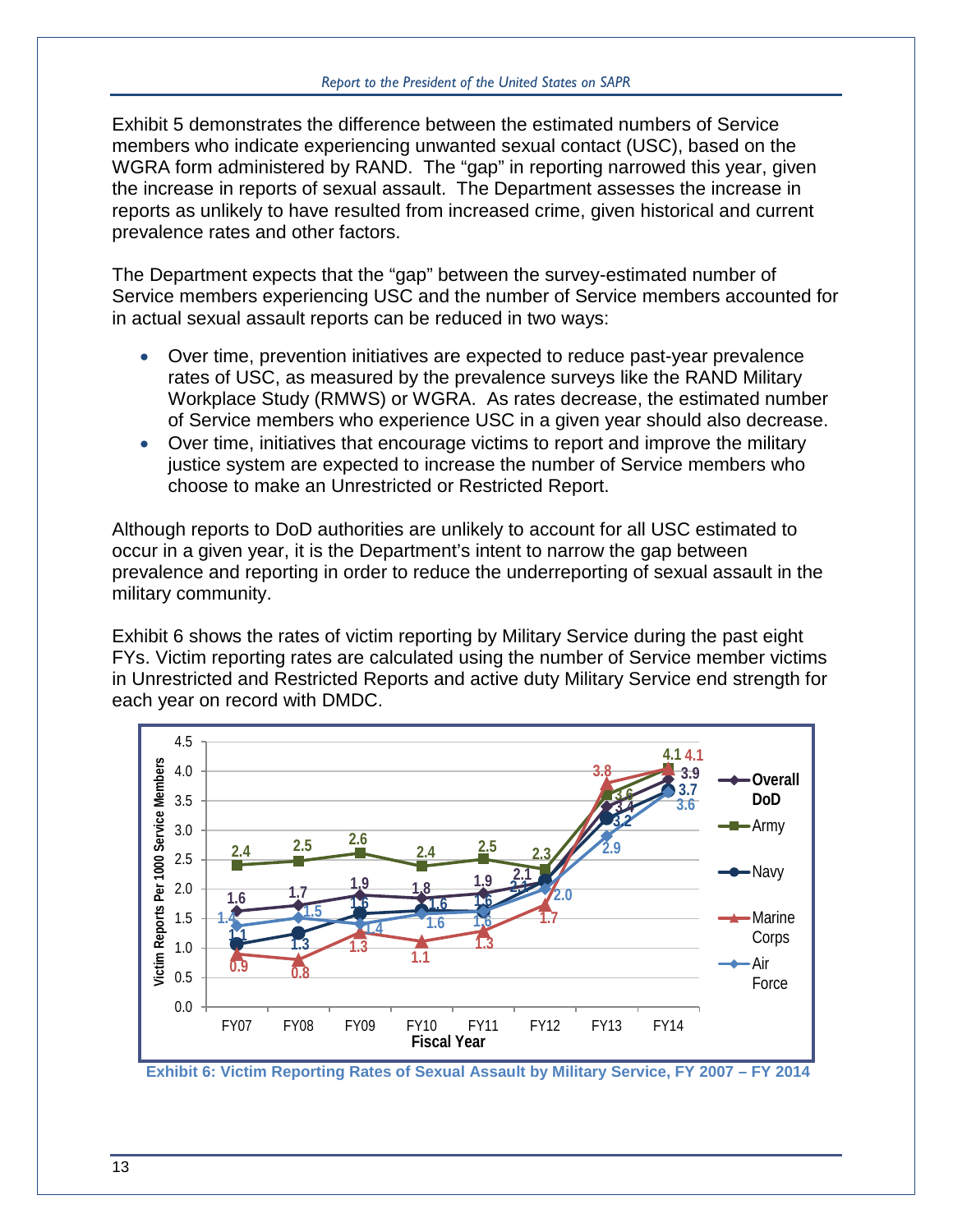[Exhibit 5](#page-15-0) demonstrates the difference between the estimated numbers of Service members who indicate experiencing unwanted sexual contact (USC), based on the WGRA form administered by RAND. The "gap" in reporting narrowed this year, given the increase in reports of sexual assault. The Department assesses the increase in reports as unlikely to have resulted from increased crime, given historical and current prevalence rates and other factors.

The Department expects that the "gap" between the survey-estimated number of Service members experiencing USC and the number of Service members accounted for in actual sexual assault reports can be reduced in two ways:

- Over time, prevention initiatives are expected to reduce past-year prevalence rates of USC, as measured by the prevalence surveys like the RAND Military Workplace Study (RMWS) or WGRA. As rates decrease, the estimated number of Service members who experience USC in a given year should also decrease.
- Over time, initiatives that encourage victims to report and improve the military justice system are expected to increase the number of Service members who choose to make an Unrestricted or Restricted Report.

Although reports to DoD authorities are unlikely to account for all USC estimated to occur in a given year, it is the Department's intent to narrow the gap between prevalence and reporting in order to reduce the underreporting of sexual assault in the military community.

[Exhibit 6](#page-16-0) shows the rates of victim reporting by Military Service during the past eight FYs. Victim reporting rates are calculated using the number of Service member victims in Unrestricted and Restricted Reports and active duty Military Service end strength for each year on record with DMDC.



<span id="page-16-0"></span>**Exhibit 6: Victim Reporting Rates of Sexual Assault by Military Service, FY 2007 – FY 2014**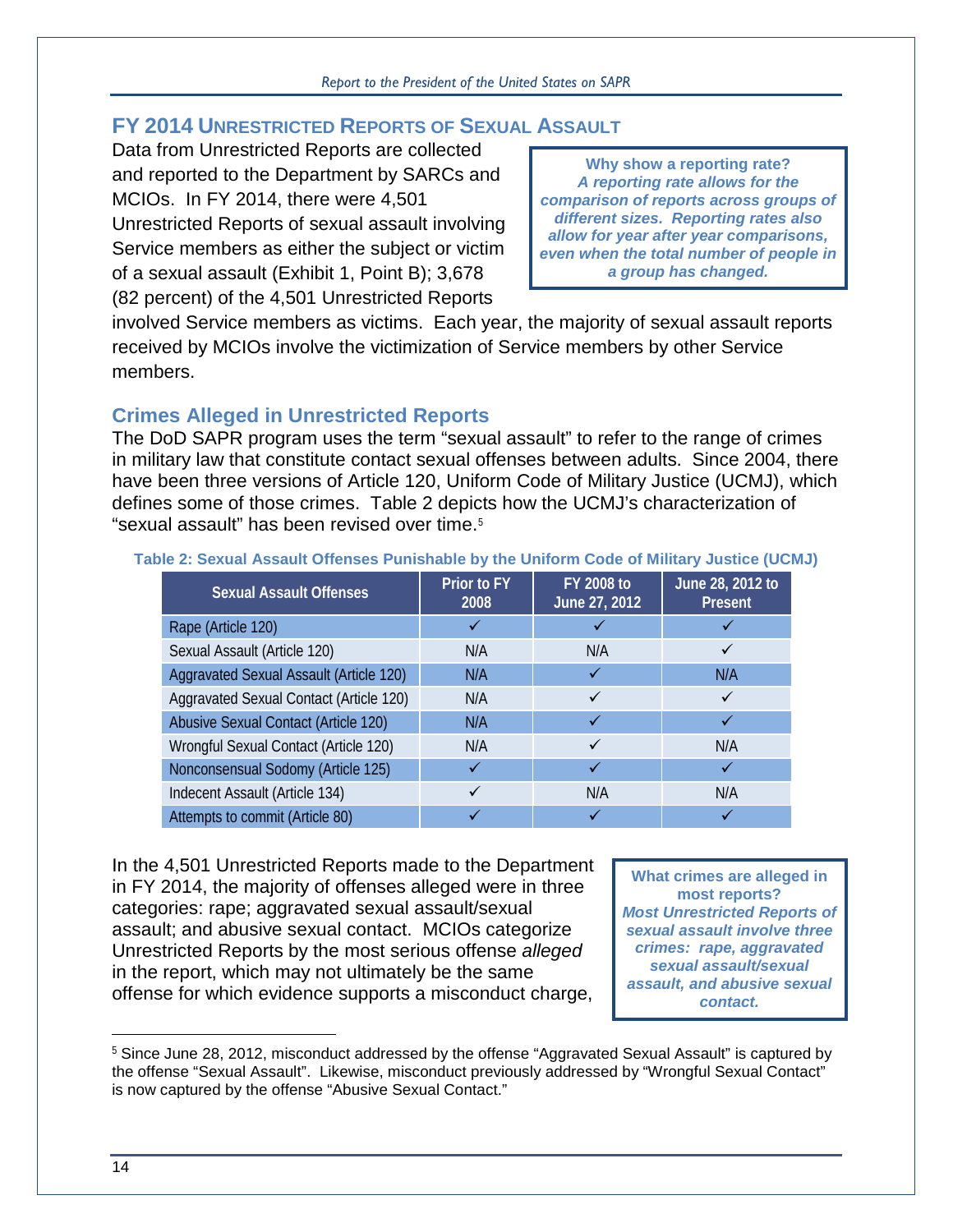# **FY 2014 UNRESTRICTED REPORTS OF SEXUAL ASSAULT**

Data from Unrestricted Reports are collected and reported to the Department by SARCs and MCIOs. In FY 2014, there were 4,501 Unrestricted Reports of sexual assault involving Service members as either the subject or victim of a sexual assault [\(Exhibit 1,](#page-11-0) Point B); 3,678 (82 percent) of the 4,501 Unrestricted Reports

**Why show a reporting rate?** *A reporting rate allows for the comparison of reports across groups of different sizes. Reporting rates also allow for year after year comparisons, even when the total number of people in a group has changed.*

involved Service members as victims. Each year, the majority of sexual assault reports received by MCIOs involve the victimization of Service members by other Service members.

# **Crimes Alleged in Unrestricted Reports**

The DoD SAPR program uses the term "sexual assault" to refer to the range of crimes in military law that constitute contact sexual offenses between adults. Since 2004, there have been three versions of Article 120, Uniform Code of Military Justice (UCMJ), which defines some of those crimes. [Table 2](#page-17-0) depicts how the UCMJ's characterization of "sexual assault" has been revised over time.[5](#page-17-1)

| <b>Sexual Assault Offenses</b>          | Prior to FY<br>2008 | <b>FY 2008 to</b><br>June 27, 2012 | June 28, 2012 to<br><b>Present</b> |
|-----------------------------------------|---------------------|------------------------------------|------------------------------------|
| Rape (Article 120)                      |                     |                                    |                                    |
| Sexual Assault (Article 120)            | N/A                 | N/A                                |                                    |
| Aggravated Sexual Assault (Article 120) | N/A                 |                                    | N/A                                |
| Aggravated Sexual Contact (Article 120) | N/A                 |                                    |                                    |
| Abusive Sexual Contact (Article 120)    | N/A                 |                                    |                                    |
| Wrongful Sexual Contact (Article 120)   | N/A                 |                                    | N/A                                |
| Nonconsensual Sodomy (Article 125)      |                     |                                    |                                    |
| Indecent Assault (Article 134)          |                     | N/A                                | N/A                                |
| Attempts to commit (Article 80)         |                     |                                    |                                    |

#### <span id="page-17-0"></span>**Table 2: Sexual Assault Offenses Punishable by the Uniform Code of Military Justice (UCMJ)**

In the 4,501 Unrestricted Reports made to the Department in FY 2014, the majority of offenses alleged were in three categories: rape; aggravated sexual assault/sexual assault; and abusive sexual contact. MCIOs categorize Unrestricted Reports by the most serious offense *alleged* in the report, which may not ultimately be the same offense for which evidence supports a misconduct charge,

**What crimes are alleged in most reports?** *Most Unrestricted Reports of sexual assault involve three crimes: rape, aggravated sexual assault/sexual assault, and abusive sexual contact.*

 $\overline{a}$ 

<span id="page-17-1"></span><sup>&</sup>lt;sup>5</sup> Since June 28, 2012, misconduct addressed by the offense "Aggravated Sexual Assault" is captured by the offense "Sexual Assault". Likewise, misconduct previously addressed by "Wrongful Sexual Contact" is now captured by the offense "Abusive Sexual Contact."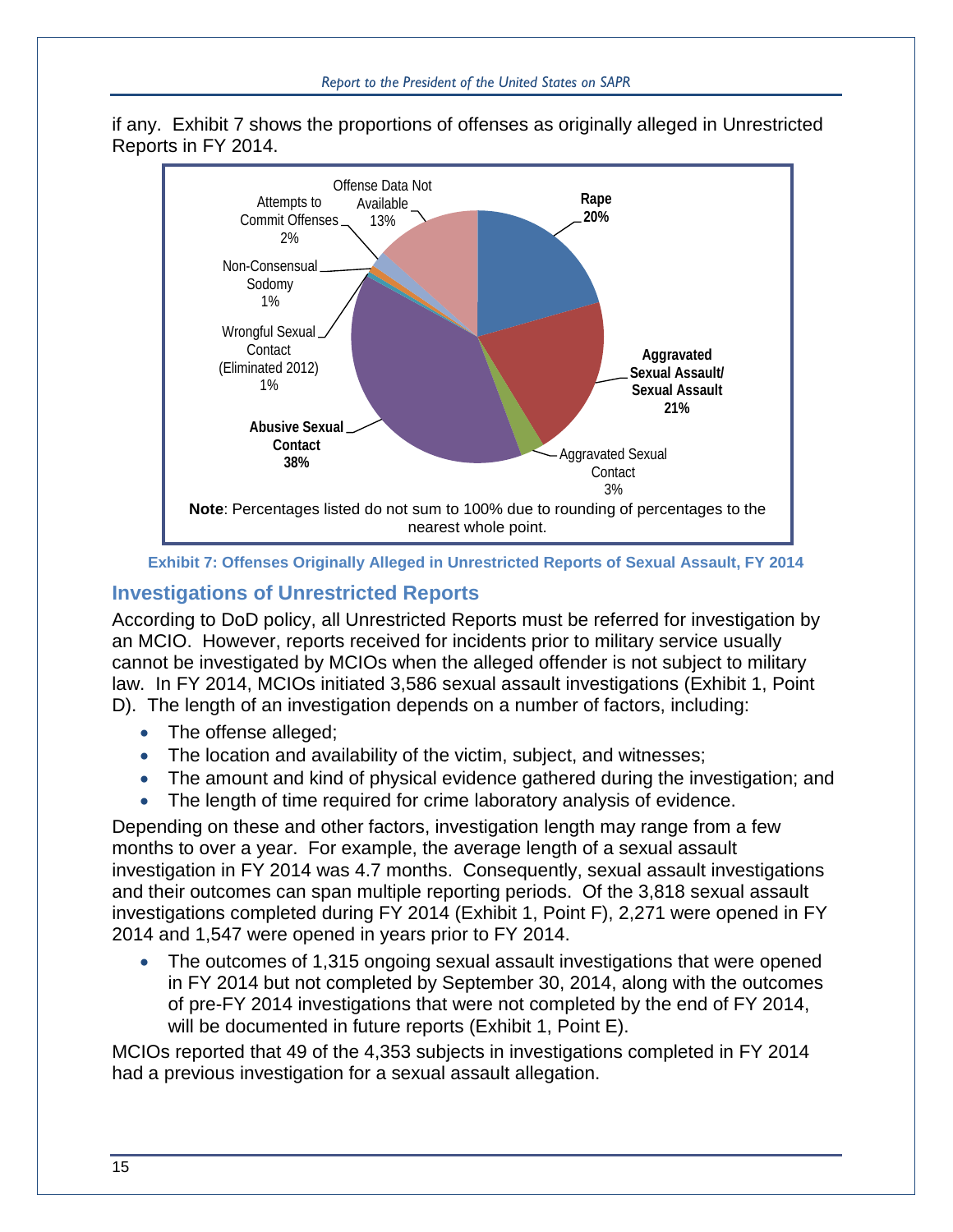

if any. [Exhibit 7](#page-18-0) shows the proportions of offenses as originally alleged in Unrestricted Reports in FY 2014.



**Exhibit 7: Offenses Originally Alleged in Unrestricted Reports of Sexual Assault, FY 2014**

#### <span id="page-18-0"></span>**Investigations of Unrestricted Reports**

**Abusive Sexual Contact**

According to DoD policy, all Unrestricted Reports must be referred for investigation by an MCIO. However, reports received for incidents prior to military service usually cannot be investigated by MCIOs when the alleged offender is not subject to military law. In FY 2014, MCIOs initiated 3,586 sexual assault investigations [\(Exhibit 1,](#page-11-0) Point D). The length of an investigation depends on a number of factors, including:

- The offense alleged;
- The location and availability of the victim, subject, and witnesses;
- The amount and kind of physical evidence gathered during the investigation; and
- The length of time required for crime laboratory analysis of evidence.

Depending on these and other factors, investigation length may range from a few months to over a year. For example, the average length of a sexual assault investigation in FY 2014 was 4.7 months. Consequently, sexual assault investigations and their outcomes can span multiple reporting periods. Of the 3,818 sexual assault investigations completed during FY 2014 [\(Exhibit 1,](#page-11-0) Point F), 2,271 were opened in FY 2014 and 1,547 were opened in years prior to FY 2014.

• The outcomes of 1,315 ongoing sexual assault investigations that were opened in FY 2014 but not completed by September 30, 2014, along with the outcomes of pre-FY 2014 investigations that were not completed by the end of FY 2014, will be documented in future reports [\(Exhibit 1,](#page-11-0) Point E).

MCIOs reported that 49 of the 4,353 subjects in investigations completed in FY 2014 had a previous investigation for a sexual assault allegation.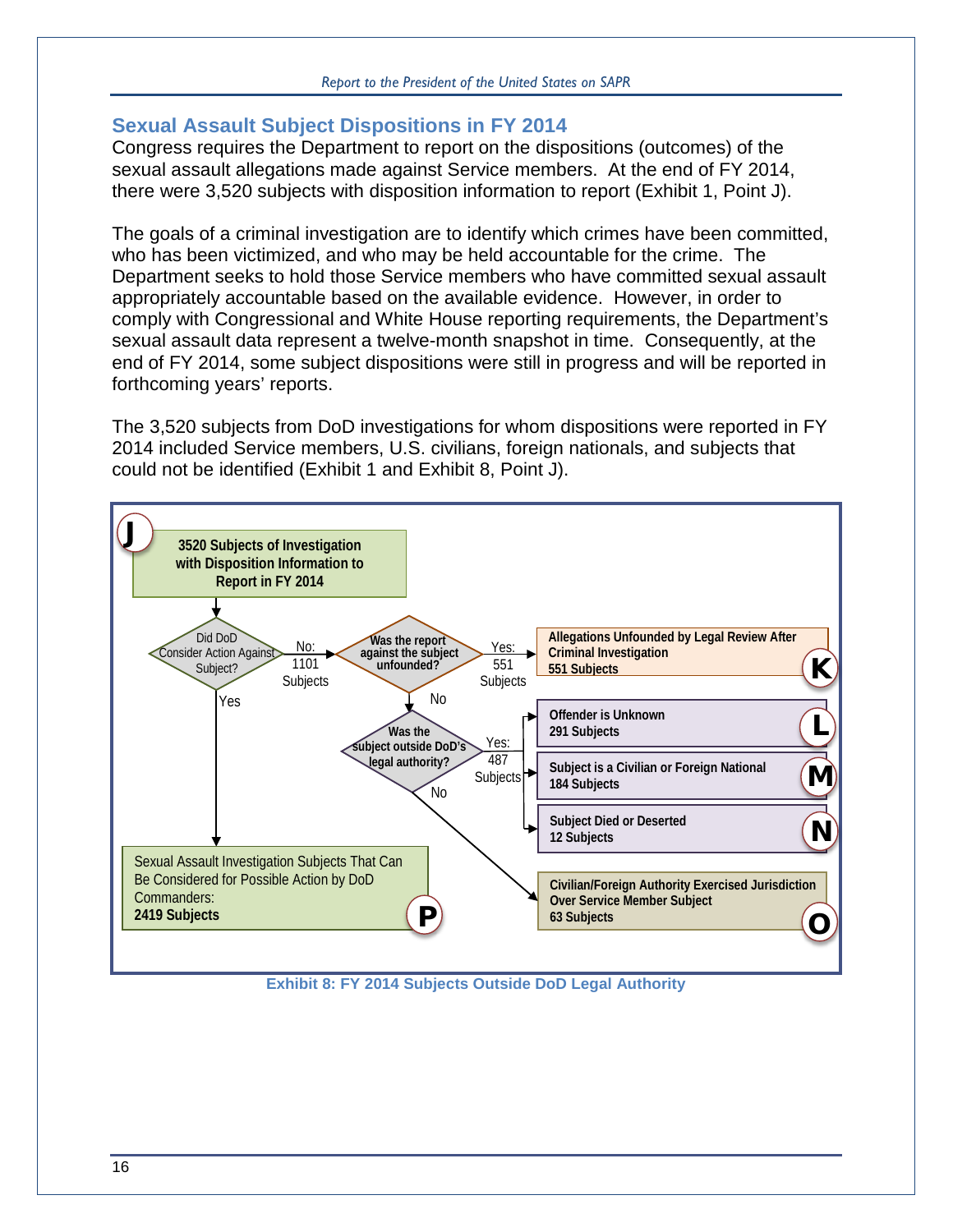# **Sexual Assault Subject Dispositions in FY 2014**

Congress requires the Department to report on the dispositions (outcomes) of the sexual assault allegations made against Service members. At the end of FY 2014, there were 3,520 subjects with disposition information to report [\(Exhibit 1,](#page-11-0) Point J).

The goals of a criminal investigation are to identify which crimes have been committed, who has been victimized, and who may be held accountable for the crime. The Department seeks to hold those Service members who have committed sexual assault appropriately accountable based on the available evidence. However, in order to comply with Congressional and White House reporting requirements, the Department's sexual assault data represent a twelve-month snapshot in time. Consequently, at the end of FY 2014, some subject dispositions were still in progress and will be reported in forthcoming years' reports.

The 3,520 subjects from DoD investigations for whom dispositions were reported in FY 2014 included Service members, U.S. civilians, foreign nationals, and subjects that could not be identified [\(Exhibit 1](#page-11-0) and [Exhibit 8,](#page-19-0) Point J).



<span id="page-19-0"></span>**Exhibit 8: FY 2014 Subjects Outside DoD Legal Authority**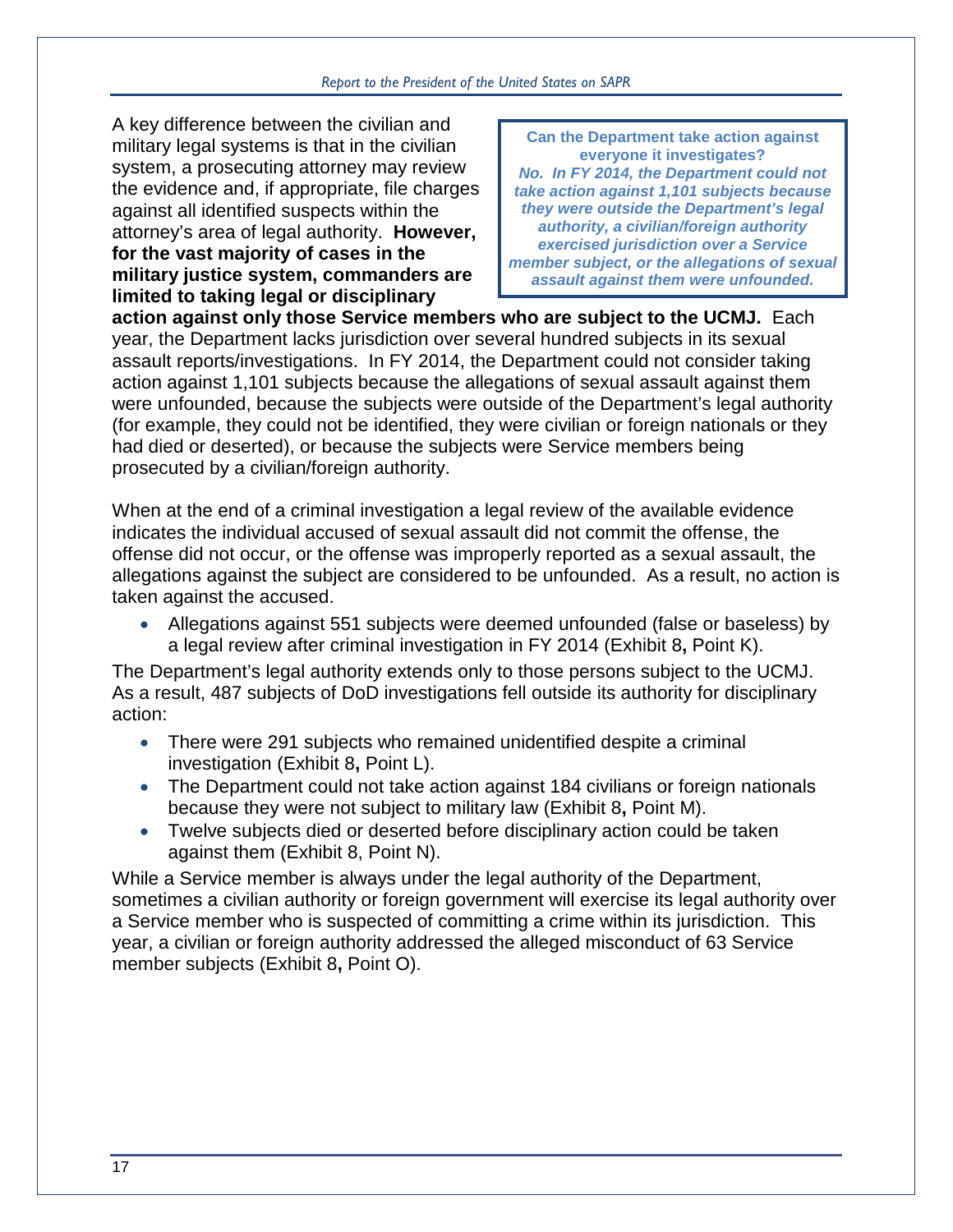#### *Report to the President of the United States on SAPR*

A key difference between the civilian and military legal systems is that in the civilian system, a prosecuting attorney may review the evidence and, if appropriate, file charges against all identified suspects within the attorney's area of legal authority. **However, for the vast majority of cases in the military justice system, commanders are limited to taking legal or disciplinary** 

**Can the Department take action against everyone it investigates?** *No. In FY 2014, the Department could not take action against 1,101 subjects because they were outside the Department's legal authority, a civilian/foreign authority exercised jurisdiction over a Service member subject, or the allegations of sexual assault against them were unfounded.*

**action against only those Service members who are subject to the UCMJ.** Each year, the Department lacks jurisdiction over several hundred subjects in its sexual assault reports/investigations. In FY 2014, the Department could not consider taking action against 1,101 subjects because the allegations of sexual assault against them were unfounded, because the subjects were outside of the Department's legal authority (for example, they could not be identified, they were civilian or foreign nationals or they had died or deserted), or because the subjects were Service members being prosecuted by a civilian/foreign authority.

When at the end of a criminal investigation a legal review of the available evidence indicates the individual accused of sexual assault did not commit the offense, the offense did not occur, or the offense was improperly reported as a sexual assault, the allegations against the subject are considered to be unfounded. As a result, no action is taken against the accused.

• Allegations against 551 subjects were deemed unfounded (false or baseless) by a legal review after criminal investigation in FY 2014 [\(Exhibit 8](#page-19-0)**,** Point K).

The Department's legal authority extends only to those persons subject to the UCMJ. As a result, 487 subjects of DoD investigations fell outside its authority for disciplinary action:

- There were 291 subjects who remained unidentified despite a criminal investigation [\(Exhibit 8](#page-19-0)**,** Point L).
- The Department could not take action against 184 civilians or foreign nationals because they were not subject to military law [\(Exhibit 8](#page-19-0)**,** Point M).
- Twelve subjects died or deserted before disciplinary action could be taken against them [\(Exhibit 8,](#page-19-0) Point N).

While a Service member is always under the legal authority of the Department, sometimes a civilian authority or foreign government will exercise its legal authority over a Service member who is suspected of committing a crime within its jurisdiction. This year, a civilian or foreign authority addressed the alleged misconduct of 63 Service member subjects [\(Exhibit 8](#page-19-0)**,** Point O).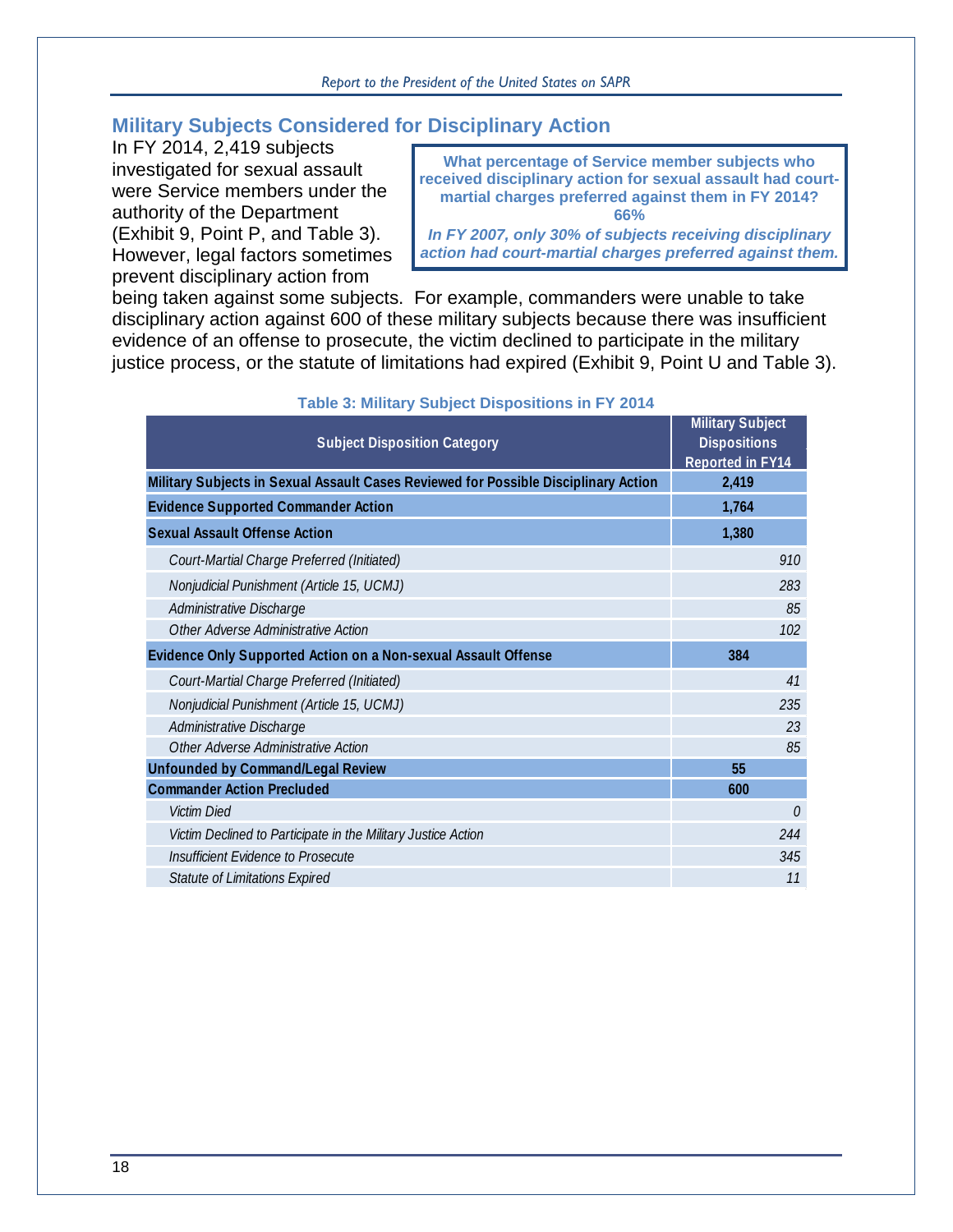# **Military Subjects Considered for Disciplinary Action**

In FY 2014, 2,419 subjects investigated for sexual assault were Service members under the authority of the Department [\(Exhibit 9,](#page-22-0) Point P, and [Table 3\)](#page-21-0). However, legal factors sometimes prevent disciplinary action from

**What percentage of Service member subjects who received disciplinary action for sexual assault had courtmartial charges preferred against them in FY 2014? 66%**

*In FY 2007, only 30% of subjects receiving disciplinary action had court-martial charges preferred against them.*

being taken against some subjects. For example, commanders were unable to take disciplinary action against 600 of these military subjects because there was insufficient evidence of an offense to prosecute, the victim declined to participate in the military justice process, or the statute of limitations had expired [\(Exhibit 9,](#page-22-0) Point U and [Table 3\)](#page-21-0).

<span id="page-21-0"></span>

| <b>Subject Disposition Category</b>                                                 | <b>Military Subject</b><br><b>Dispositions</b><br><b>Reported in FY14</b> |  |
|-------------------------------------------------------------------------------------|---------------------------------------------------------------------------|--|
| Military Subjects in Sexual Assault Cases Reviewed for Possible Disciplinary Action | 2,419                                                                     |  |
| <b>Evidence Supported Commander Action</b>                                          | 1,764                                                                     |  |
| <b>Sexual Assault Offense Action</b>                                                | 1,380                                                                     |  |
| Court-Martial Charge Preferred (Initiated)                                          | 910                                                                       |  |
| Nonjudicial Punishment (Article 15, UCMJ)                                           | 283                                                                       |  |
| Administrative Discharge                                                            | 85                                                                        |  |
| Other Adverse Administrative Action                                                 | 102                                                                       |  |
| Evidence Only Supported Action on a Non-sexual Assault Offense                      | 384                                                                       |  |
| Court-Martial Charge Preferred (Initiated)                                          | 41                                                                        |  |
| Nonjudicial Punishment (Article 15, UCMJ)                                           | 235                                                                       |  |
| Administrative Discharge                                                            | 23                                                                        |  |
| Other Adverse Administrative Action                                                 | 85                                                                        |  |
| <b>Unfounded by Command/Legal Review</b>                                            | 55                                                                        |  |
| <b>Commander Action Precluded</b>                                                   | 600                                                                       |  |
| <b>Victim Died</b>                                                                  | $\theta$                                                                  |  |
| Victim Declined to Participate in the Military Justice Action                       | 244                                                                       |  |
| Insufficient Evidence to Prosecute                                                  | 345                                                                       |  |
| <b>Statute of Limitations Expired</b>                                               | 11                                                                        |  |

#### **Table 3: Military Subject Dispositions in FY 2014**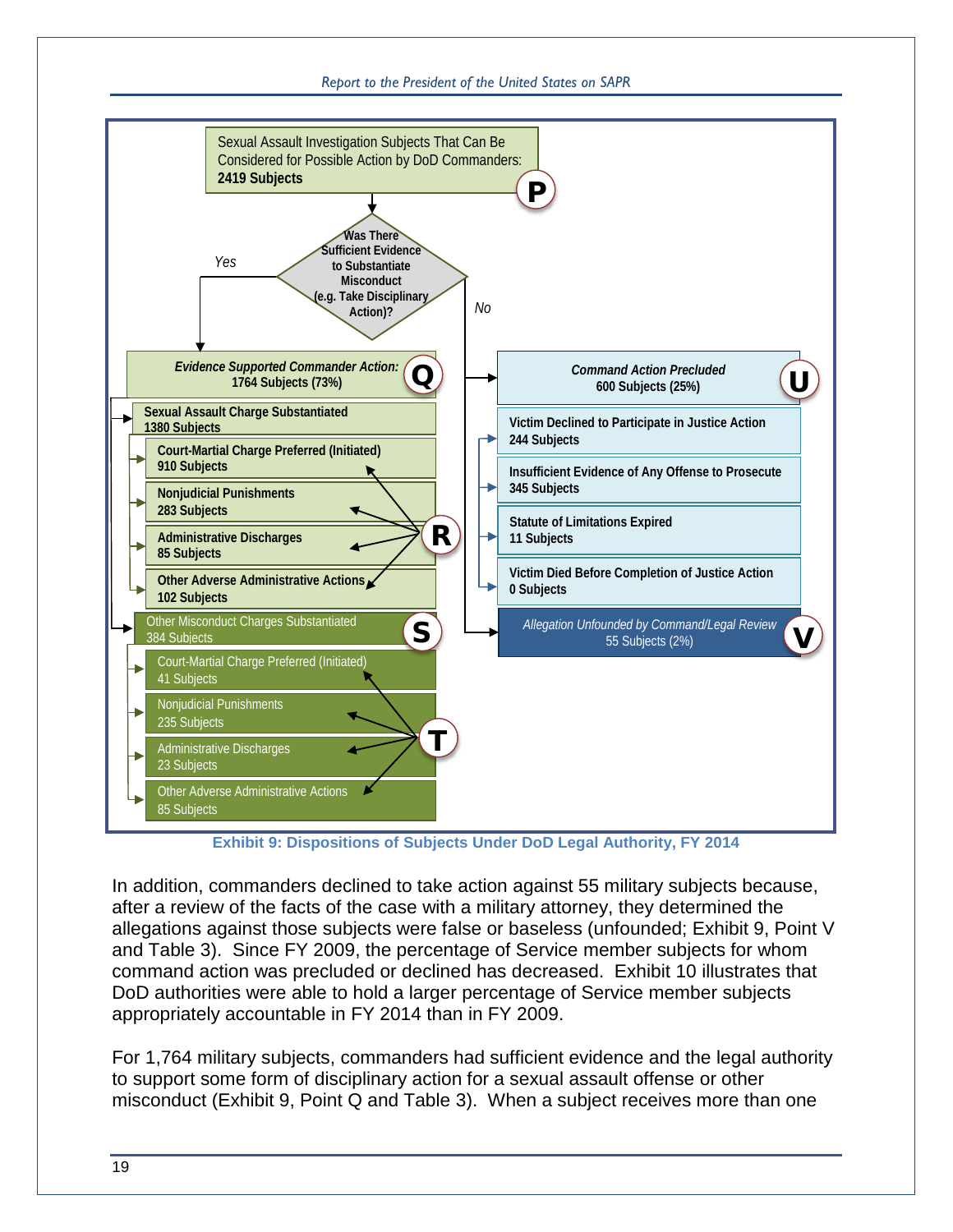#### *Report to the President of the United States on SAPR*



**Exhibit 9: Dispositions of Subjects Under DoD Legal Authority, FY 2014**

<span id="page-22-0"></span>In addition, commanders declined to take action against 55 military subjects because, after a review of the facts of the case with a military attorney, they determined the allegations against those subjects were false or baseless (unfounded; [Exhibit 9,](#page-22-0) Point V and [Table 3\)](#page-21-0). Since FY 2009, the percentage of Service member subjects for whom command action was precluded or declined has decreased. [Exhibit 10](#page-23-0) illustrates that DoD authorities were able to hold a larger percentage of Service member subjects appropriately accountable in FY 2014 than in FY 2009.

For 1,764 military subjects, commanders had sufficient evidence and the legal authority to support some form of disciplinary action for a sexual assault offense or other misconduct [\(Exhibit 9,](#page-22-0) Point Q and [Table 3\)](#page-21-0). When a subject receives more than one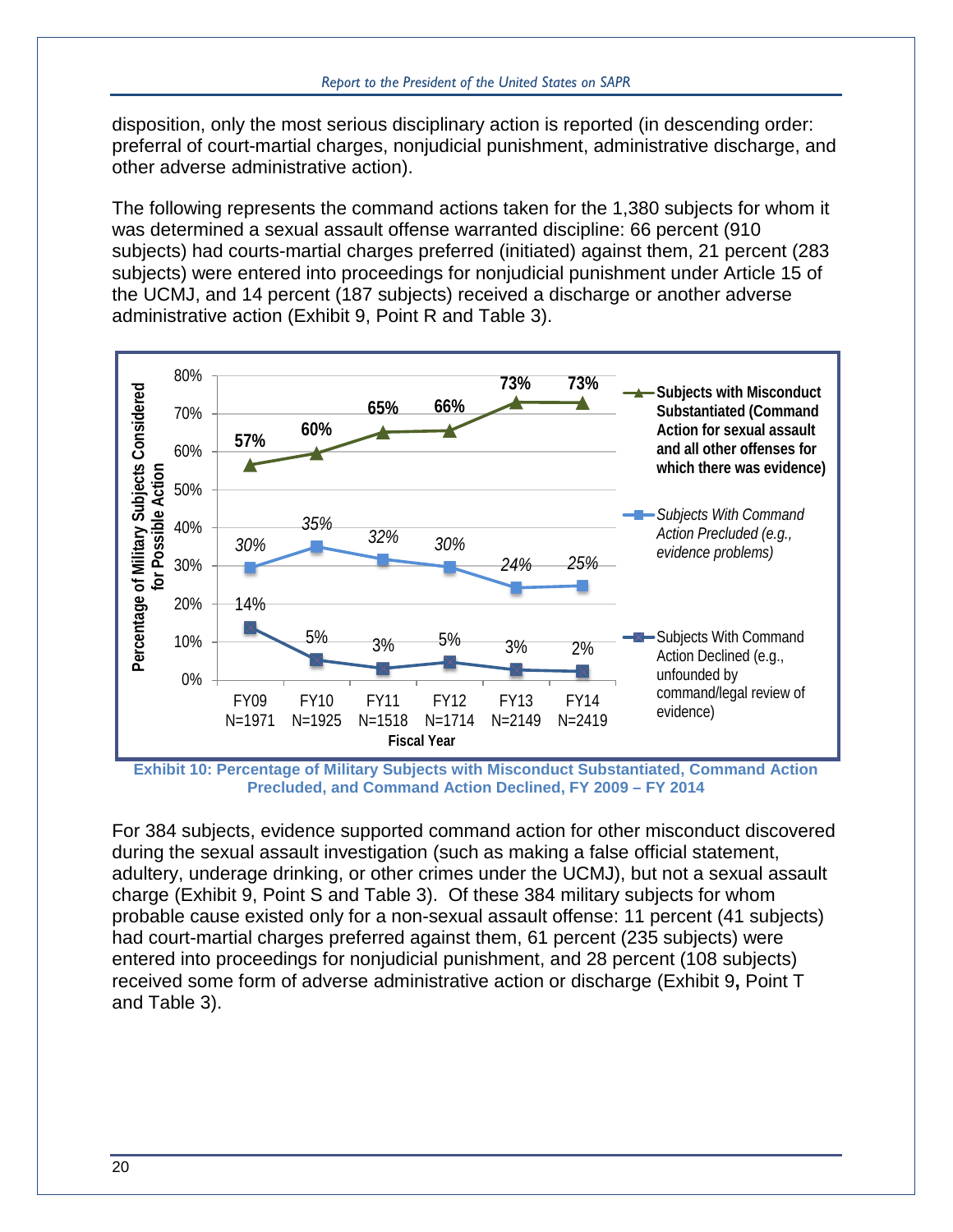disposition, only the most serious disciplinary action is reported (in descending order: preferral of court-martial charges, nonjudicial punishment, administrative discharge, and other adverse administrative action).

The following represents the command actions taken for the 1,380 subjects for whom it was determined a sexual assault offense warranted discipline: 66 percent (910 subjects) had courts-martial charges preferred (initiated) against them, 21 percent (283 subjects) were entered into proceedings for nonjudicial punishment under Article 15 of the UCMJ, and 14 percent (187 subjects) received a discharge or another adverse administrative action [\(Exhibit 9,](#page-22-0) Point R and [Table 3\)](#page-21-0).



<span id="page-23-0"></span>**Exhibit 10: Percentage of Military Subjects with Misconduct Substantiated, Command Action Precluded, and Command Action Declined, FY 2009 – FY 2014**

For 384 subjects, evidence supported command action for other misconduct discovered during the sexual assault investigation (such as making a false official statement, adultery, underage drinking, or other crimes under the UCMJ), but not a sexual assault charge [\(Exhibit 9,](#page-22-0) Point S and [Table 3\)](#page-21-0). Of these 384 military subjects for whom probable cause existed only for a non-sexual assault offense: 11 percent (41 subjects) had court-martial charges preferred against them, 61 percent (235 subjects) were entered into proceedings for nonjudicial punishment, and 28 percent (108 subjects) received some form of adverse administrative action or discharge [\(Exhibit 9](#page-22-0)**,** Point T and [Table 3\)](#page-21-0).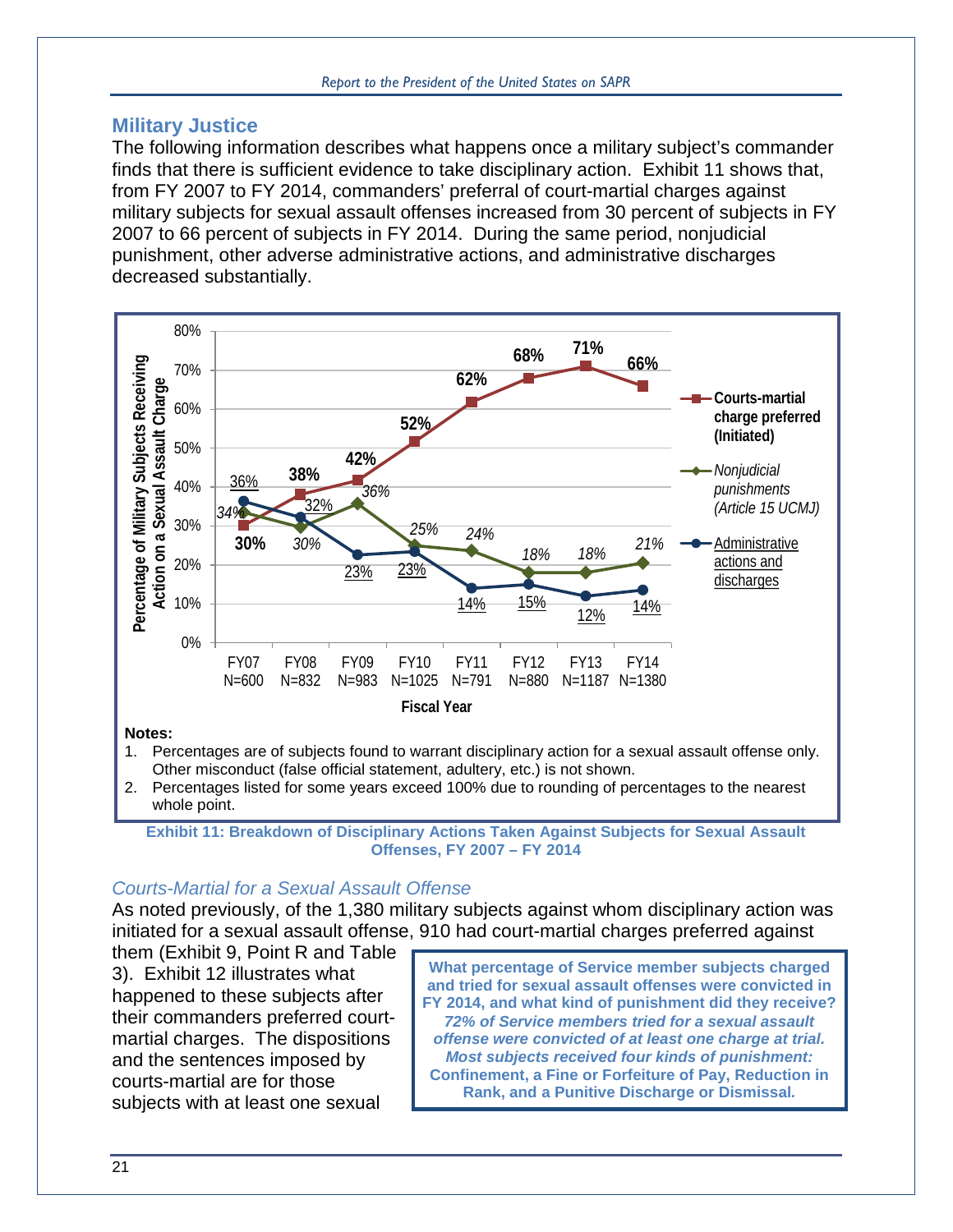## **Military Justice**

The following information describes what happens once a military subject's commander finds that there is sufficient evidence to take disciplinary action. [Exhibit 11](#page-24-0) shows that, from FY 2007 to FY 2014, commanders' preferral of court-martial charges against military subjects for sexual assault offenses increased from 30 percent of subjects in FY 2007 to 66 percent of subjects in FY 2014. During the same period, nonjudicial punishment, other adverse administrative actions, and administrative discharges decreased substantially.



Other misconduct (false official statement, adultery, etc.) is not shown.

2. Percentages listed for some years exceed 100% due to rounding of percentages to the nearest whole point.

#### *Courts-Martial for a Sexual Assault Offense*

As noted previously, of the 1,380 military subjects against whom disciplinary action was initiated for a sexual assault offense, 910 had court-martial charges preferred against

them [\(Exhibit 9,](#page-22-0) Point R and [Table](#page-21-0)  [3\)](#page-21-0). [Exhibit 12](#page-26-0) illustrates what happened to these subjects after their commanders preferred courtmartial charges. The dispositions and the sentences imposed by courts-martial are for those subjects with at least one sexual

**What percentage of Service member subjects charged and tried for sexual assault offenses were convicted in FY 2014, and what kind of punishment did they receive?** *72% of Service members tried for a sexual assault offense were convicted of at least one charge at trial. Most subjects received four kinds of punishment:*  **Confinement, a Fine or Forfeiture of Pay, Reduction in Rank, and a Punitive Discharge or Dismissal***.*

<span id="page-24-0"></span>**Exhibit 11: Breakdown of Disciplinary Actions Taken Against Subjects for Sexual Assault Offenses, FY 2007 – FY 2014**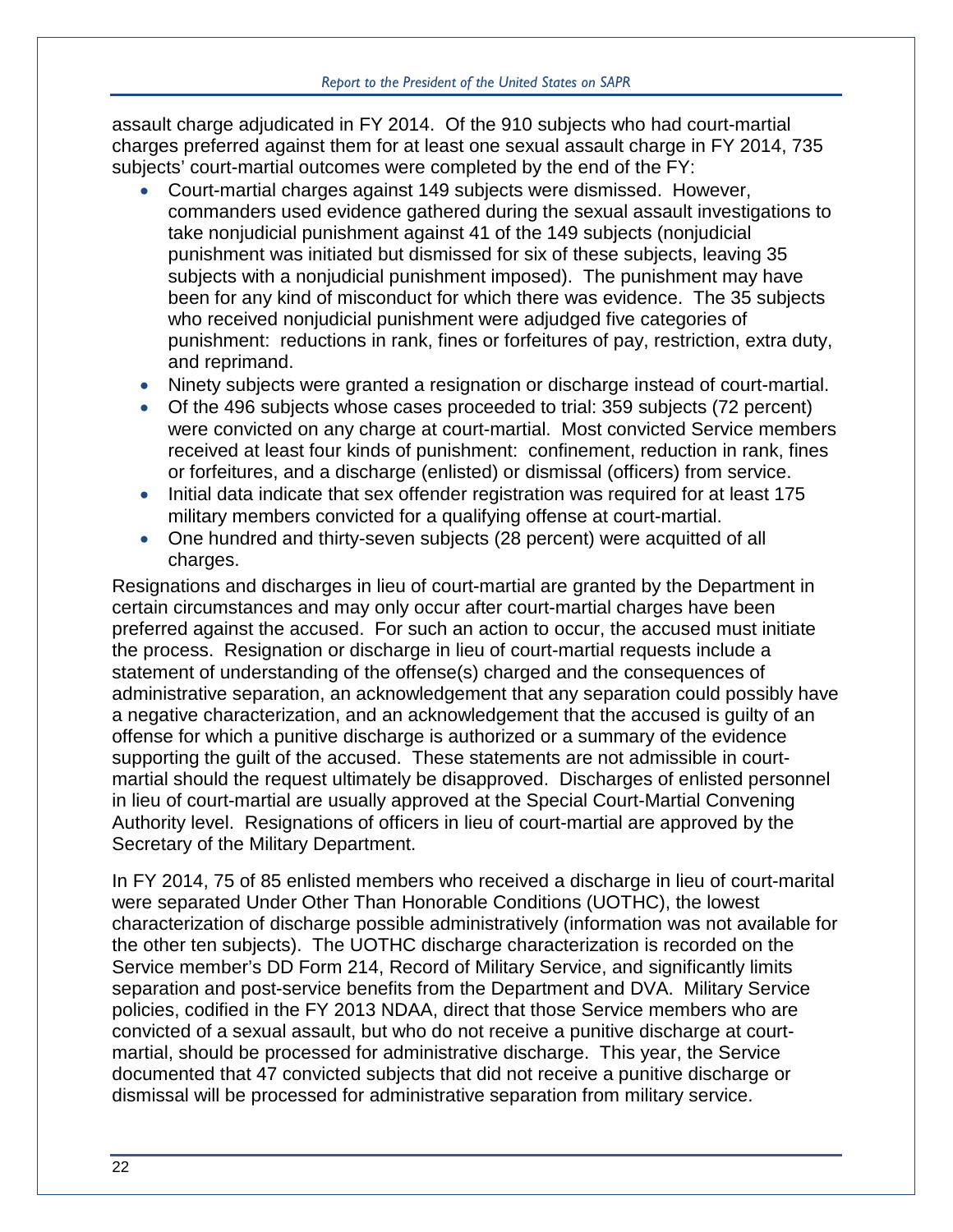assault charge adjudicated in FY 2014. Of the 910 subjects who had court-martial charges preferred against them for at least one sexual assault charge in FY 2014, 735 subjects' court-martial outcomes were completed by the end of the FY:

- Court-martial charges against 149 subjects were dismissed. However, commanders used evidence gathered during the sexual assault investigations to take nonjudicial punishment against 41 of the 149 subjects (nonjudicial punishment was initiated but dismissed for six of these subjects, leaving 35 subjects with a nonjudicial punishment imposed). The punishment may have been for any kind of misconduct for which there was evidence. The 35 subjects who received nonjudicial punishment were adjudged five categories of punishment: reductions in rank, fines or forfeitures of pay, restriction, extra duty, and reprimand.
- Ninety subjects were granted a resignation or discharge instead of court-martial.
- Of the 496 subjects whose cases proceeded to trial: 359 subjects (72 percent) were convicted on any charge at court-martial. Most convicted Service members received at least four kinds of punishment: confinement, reduction in rank, fines or forfeitures, and a discharge (enlisted) or dismissal (officers) from service.
- Initial data indicate that sex offender registration was required for at least 175 military members convicted for a qualifying offense at court-martial.
- One hundred and thirty-seven subjects (28 percent) were acquitted of all charges.

Resignations and discharges in lieu of court-martial are granted by the Department in certain circumstances and may only occur after court-martial charges have been preferred against the accused. For such an action to occur, the accused must initiate the process. Resignation or discharge in lieu of court-martial requests include a statement of understanding of the offense(s) charged and the consequences of administrative separation, an acknowledgement that any separation could possibly have a negative characterization, and an acknowledgement that the accused is guilty of an offense for which a punitive discharge is authorized or a summary of the evidence supporting the guilt of the accused. These statements are not admissible in courtmartial should the request ultimately be disapproved. Discharges of enlisted personnel in lieu of court-martial are usually approved at the Special Court-Martial Convening Authority level. Resignations of officers in lieu of court-martial are approved by the Secretary of the Military Department.

In FY 2014, 75 of 85 enlisted members who received a discharge in lieu of court-marital were separated Under Other Than Honorable Conditions (UOTHC), the lowest characterization of discharge possible administratively (information was not available for the other ten subjects). The UOTHC discharge characterization is recorded on the Service member's DD Form 214, Record of Military Service, and significantly limits separation and post-service benefits from the Department and DVA. Military Service policies, codified in the FY 2013 NDAA, direct that those Service members who are convicted of a sexual assault, but who do not receive a punitive discharge at courtmartial, should be processed for administrative discharge. This year, the Service documented that 47 convicted subjects that did not receive a punitive discharge or dismissal will be processed for administrative separation from military service.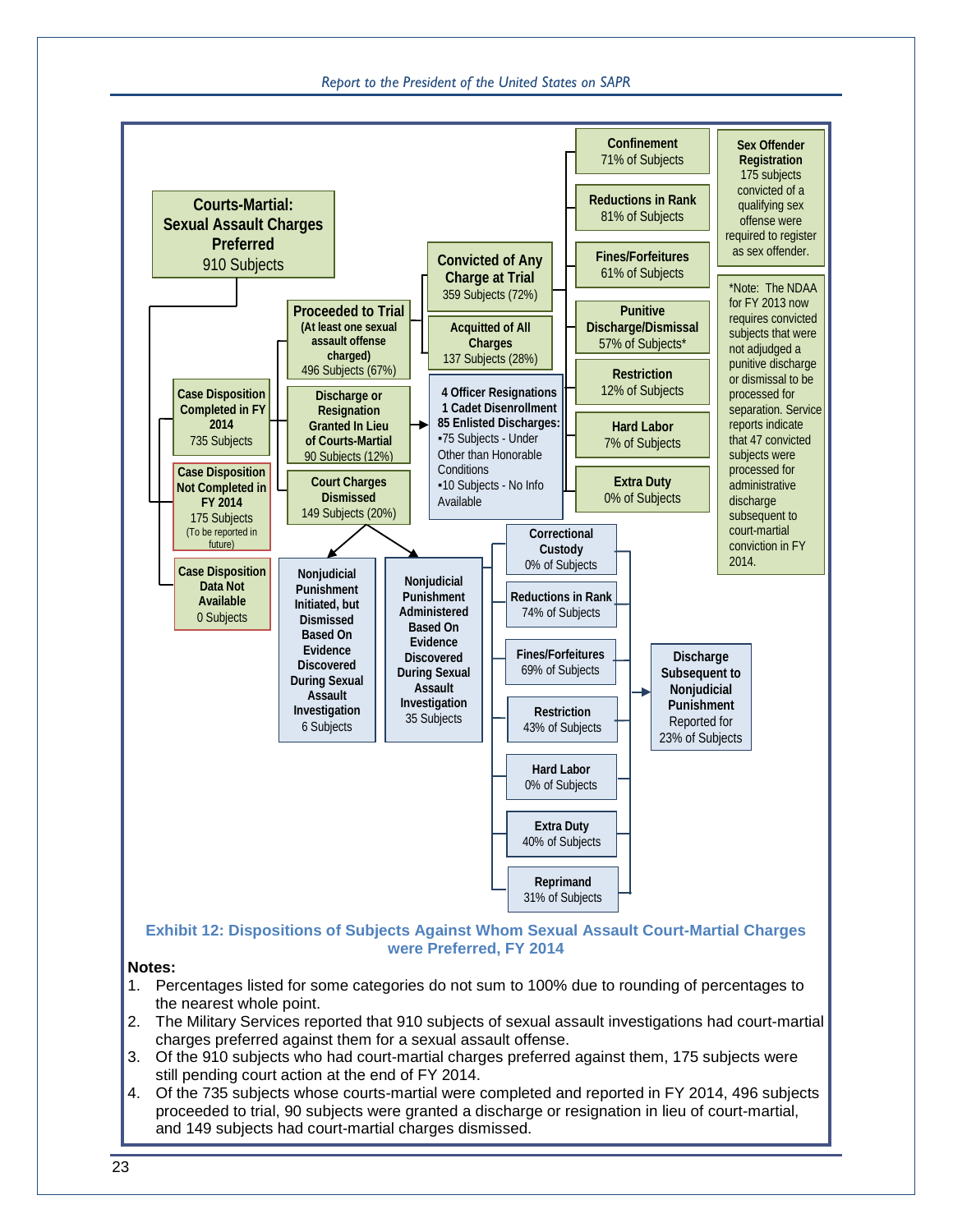*Report to the President of the United States on SAPR*

<span id="page-26-0"></span>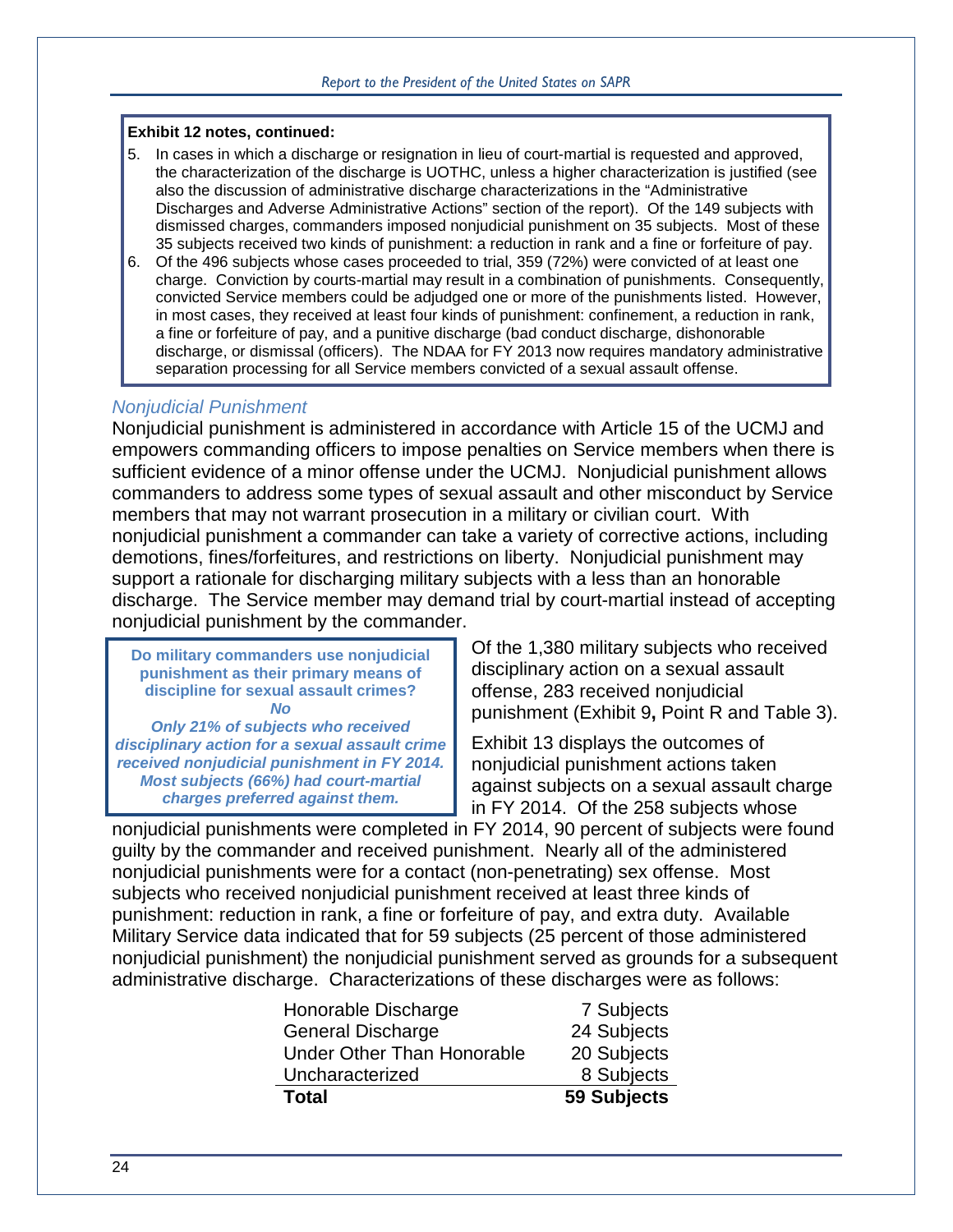#### **Exhibit 12 notes, continued:**

- 5. In cases in which a discharge or resignation in lieu of court-martial is requested and approved, the characterization of the discharge is UOTHC, unless a higher characterization is justified (see also the discussion of administrative discharge characterizations in the "Administrative Discharges and Adverse Administrative Actions" section of the report). Of the 149 subjects with dismissed charges, commanders imposed nonjudicial punishment on 35 subjects. Most of these 35 subjects received two kinds of punishment: a reduction in rank and a fine or forfeiture of pay.
- 6. Of the 496 subjects whose cases proceeded to trial, 359 (72%) were convicted of at least one charge. Conviction by courts-martial may result in a combination of punishments. Consequently, convicted Service members could be adjudged one or more of the punishments listed. However, in most cases, they received at least four kinds of punishment: confinement, a reduction in rank, a fine or forfeiture of pay, and a punitive discharge (bad conduct discharge, dishonorable discharge, or dismissal (officers). The NDAA for FY 2013 now requires mandatory administrative separation processing for all Service members convicted of a sexual assault offense.

#### *Nonjudicial Punishment*

Nonjudicial punishment is administered in accordance with Article 15 of the UCMJ and empowers commanding officers to impose penalties on Service members when there is sufficient evidence of a minor offense under the UCMJ. Nonjudicial punishment allows commanders to address some types of sexual assault and other misconduct by Service members that may not warrant prosecution in a military or civilian court. With nonjudicial punishment a commander can take a variety of corrective actions, including demotions, fines/forfeitures, and restrictions on liberty. Nonjudicial punishment may support a rationale for discharging military subjects with a less than an honorable discharge. The Service member may demand trial by court-martial instead of accepting nonjudicial punishment by the commander.

**Do military commanders use nonjudicial punishment as their primary means of discipline for sexual assault crimes?** *No* 

*Only 21% of subjects who received disciplinary action for a sexual assault crime received nonjudicial punishment in FY 2014. Most subjects (66%) had court-martial charges preferred against them.*

Of the 1,380 military subjects who received disciplinary action on a sexual assault offense, 283 received nonjudicial punishment [\(Exhibit 9](#page-22-0)**,** Point R and [Table 3\)](#page-21-0).

[Exhibit](#page-28-1) 13 displays the outcomes of nonjudicial punishment actions taken against subjects on a sexual assault charge in FY 2014. Of the 258 subjects whose

nonjudicial punishments were completed in FY 2014, 90 percent of subjects were found guilty by the commander and received punishment. Nearly all of the administered nonjudicial punishments were for a contact (non-penetrating) sex offense. Most subjects who received nonjudicial punishment received at least three kinds of punishment: reduction in rank, a fine or forfeiture of pay, and extra duty. Available Military Service data indicated that for 59 subjects (25 percent of those administered nonjudicial punishment) the nonjudicial punishment served as grounds for a subsequent administrative discharge. Characterizations of these discharges were as follows:

| Honorable Discharge               | 7 Subjects  |
|-----------------------------------|-------------|
| <b>General Discharge</b>          | 24 Subjects |
| <b>Under Other Than Honorable</b> | 20 Subjects |
| Uncharacterized                   | 8 Subjects  |
| <b>Total</b>                      | 59 Subjects |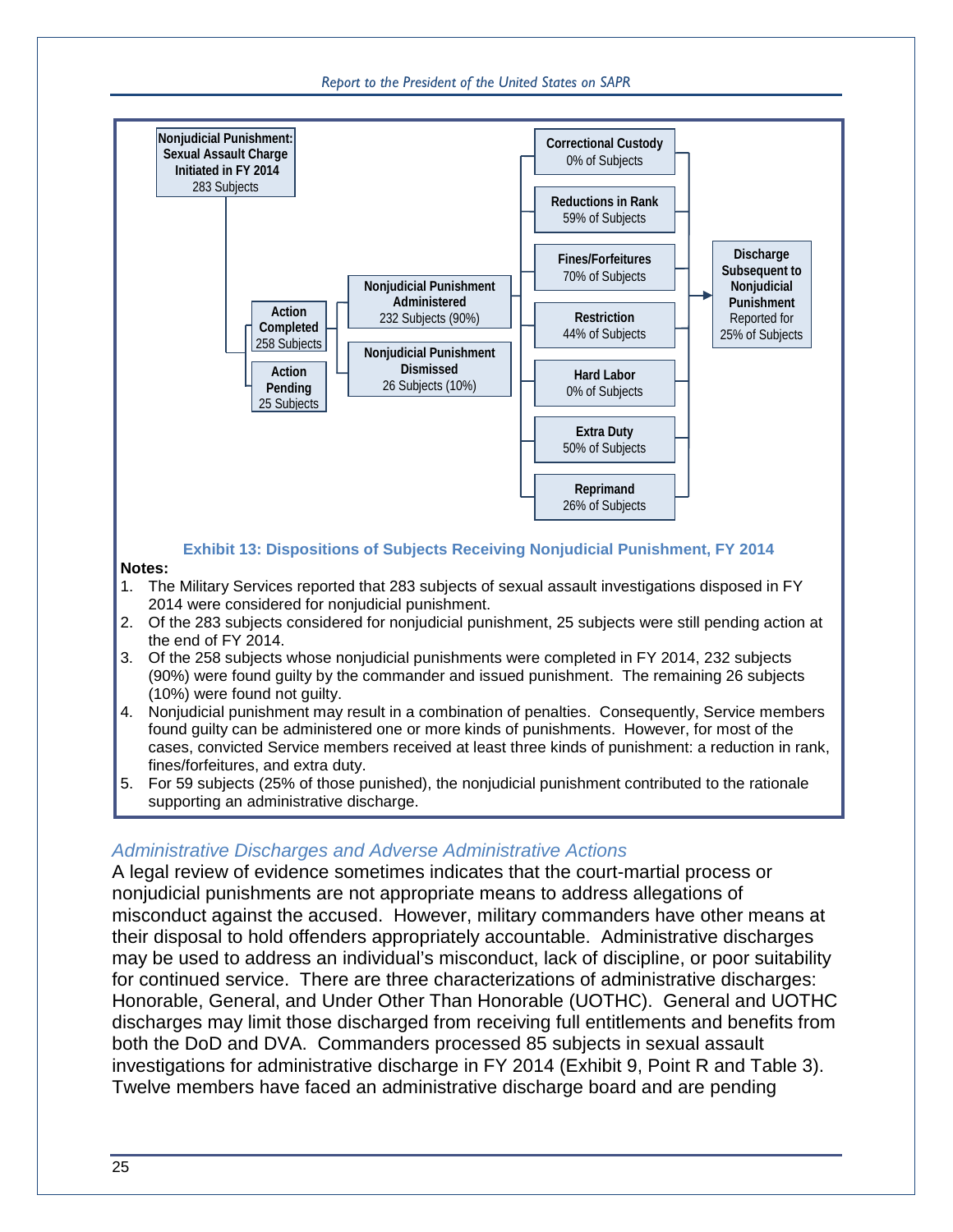*Report to the President of the United States on SAPR*



<span id="page-28-1"></span><span id="page-28-0"></span>A legal review of evidence sometimes indicates that the court-martial process or nonjudicial punishments are not appropriate means to address allegations of misconduct against the accused. However, military commanders have other means at their disposal to hold offenders appropriately accountable. Administrative discharges may be used to address an individual's misconduct, lack of discipline, or poor suitability for continued service. There are three characterizations of administrative discharges: Honorable, General, and Under Other Than Honorable (UOTHC). General and UOTHC discharges may limit those discharged from receiving full entitlements and benefits from both the DoD and DVA. Commanders processed 85 subjects in sexual assault investigations for administrative discharge in FY 2014 [\(Exhibit 9,](#page-22-0) Point R and [Table 3\)](#page-21-0). Twelve members have faced an administrative discharge board and are pending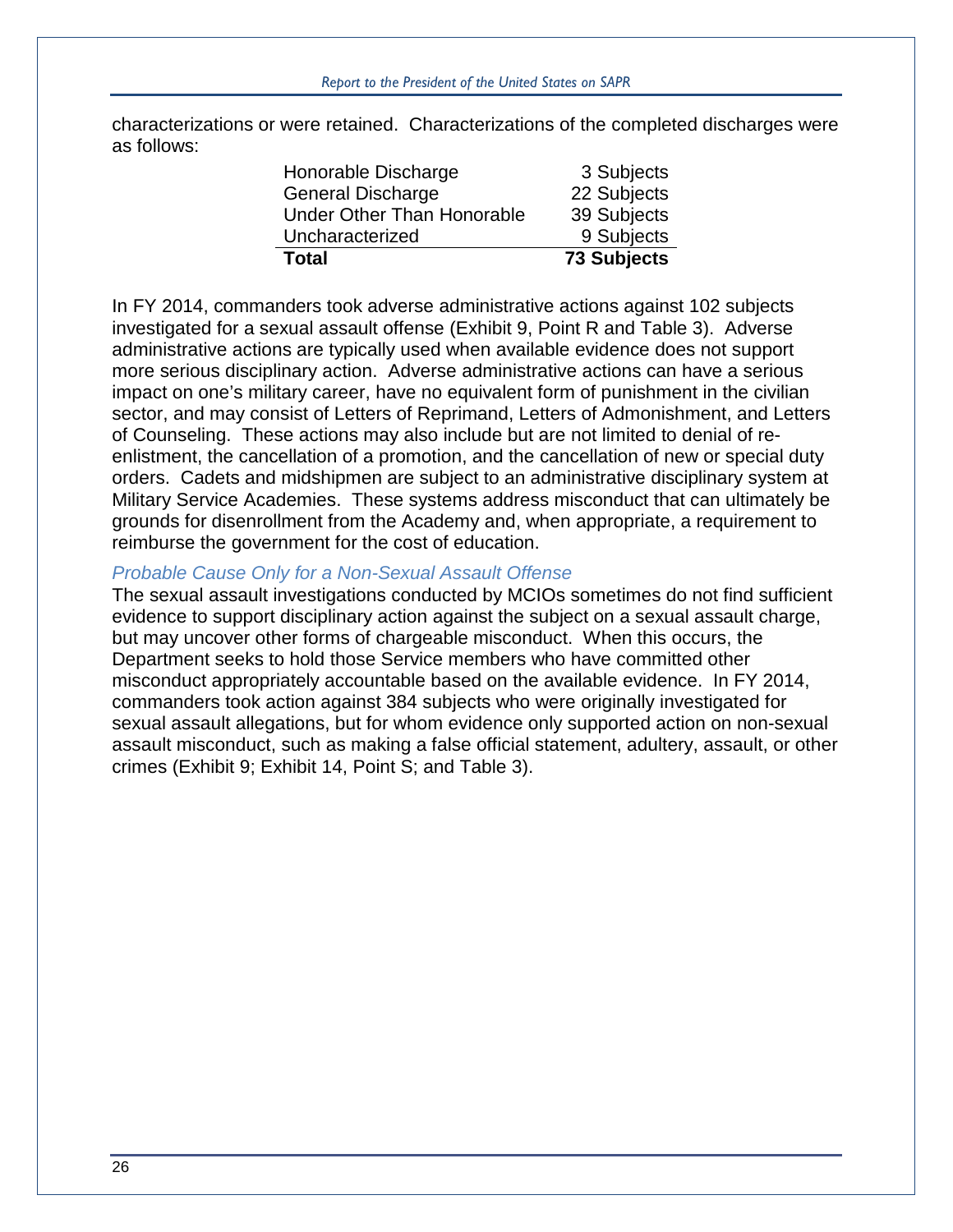characterizations or were retained. Characterizations of the completed discharges were as follows:

| <b>Total</b>                      | <b>73 Subjects</b> |
|-----------------------------------|--------------------|
| Uncharacterized                   | 9 Subjects         |
| <b>Under Other Than Honorable</b> | 39 Subjects        |
| <b>General Discharge</b>          | 22 Subjects        |
| Honorable Discharge               | 3 Subjects         |

In FY 2014, commanders took adverse administrative actions against 102 subjects investigated for a sexual assault offense [\(Exhibit 9,](#page-22-0) Point R and [Table 3\)](#page-21-0). Adverse administrative actions are typically used when available evidence does not support more serious disciplinary action. Adverse administrative actions can have a serious impact on one's military career, have no equivalent form of punishment in the civilian sector, and may consist of Letters of Reprimand, Letters of Admonishment, and Letters of Counseling. These actions may also include but are not limited to denial of reenlistment, the cancellation of a promotion, and the cancellation of new or special duty orders. Cadets and midshipmen are subject to an administrative disciplinary system at Military Service Academies. These systems address misconduct that can ultimately be grounds for disenrollment from the Academy and, when appropriate, a requirement to reimburse the government for the cost of education.

#### *Probable Cause Only for a Non-Sexual Assault Offense*

The sexual assault investigations conducted by MCIOs sometimes do not find sufficient evidence to support disciplinary action against the subject on a sexual assault charge, but may uncover other forms of chargeable misconduct. When this occurs, the Department seeks to hold those Service members who have committed other misconduct appropriately accountable based on the available evidence. In FY 2014, commanders took action against 384 subjects who were originally investigated for sexual assault allegations, but for whom evidence only supported action on non-sexual assault misconduct, such as making a false official statement, adultery, assault, or other crimes (Exhibit 9; [Exhibit 14,](#page-30-0) Point S; and [Table 3\)](#page-21-0).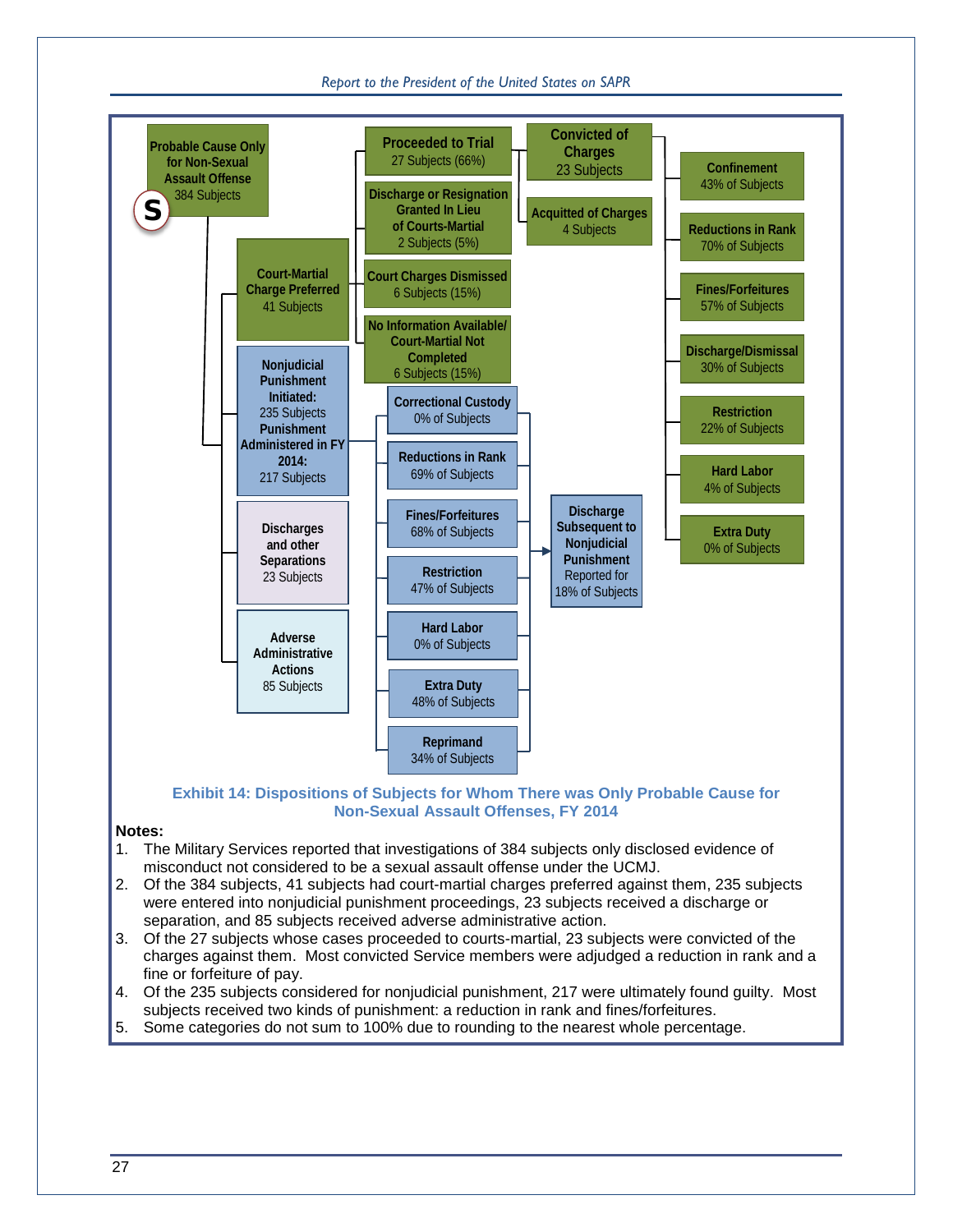#### *Report to the President of the United States on SAPR*



#### **Exhibit 14: Dispositions of Subjects for Whom There was Only Probable Cause for Non-Sexual Assault Offenses, FY 2014**

#### <span id="page-30-0"></span>**Notes:**

- 1. The Military Services reported that investigations of 384 subjects only disclosed evidence of misconduct not considered to be a sexual assault offense under the UCMJ.
- 2. Of the 384 subjects, 41 subjects had court-martial charges preferred against them, 235 subjects were entered into nonjudicial punishment proceedings, 23 subjects received a discharge or separation, and 85 subjects received adverse administrative action.
- 3. Of the 27 subjects whose cases proceeded to courts-martial, 23 subjects were convicted of the charges against them. Most convicted Service members were adjudged a reduction in rank and a fine or forfeiture of pay.
- 4. Of the 235 subjects considered for nonjudicial punishment, 217 were ultimately found guilty. Most subjects received two kinds of punishment: a reduction in rank and fines/forfeitures.
- 5. Some categories do not sum to 100% due to rounding to the nearest whole percentage.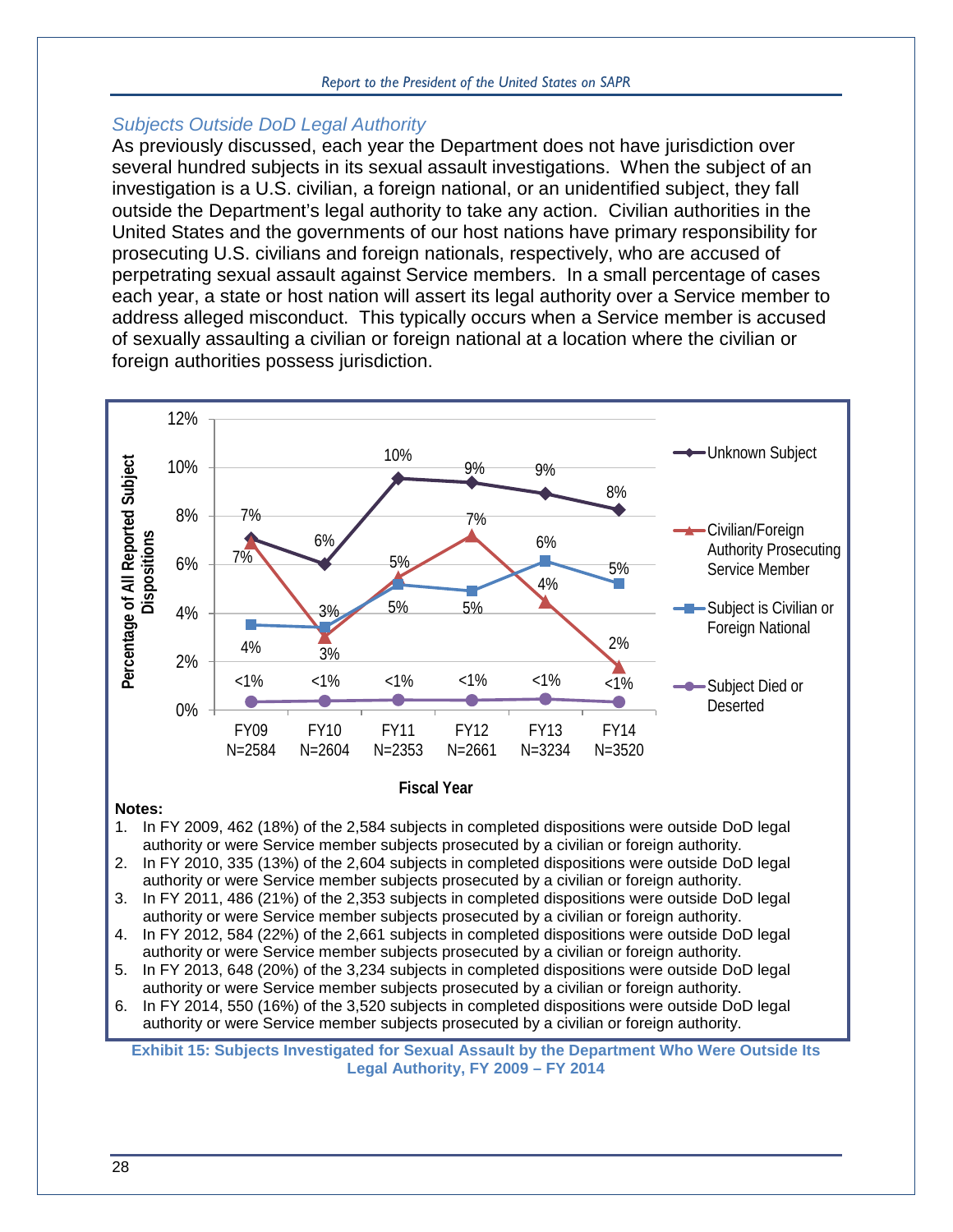#### *Report to the President of the United States on SAPR*

#### *Subjects Outside DoD Legal Authority*

As previously discussed, each year the Department does not have jurisdiction over several hundred subjects in its sexual assault investigations. When the subject of an investigation is a U.S. civilian, a foreign national, or an unidentified subject, they fall outside the Department's legal authority to take any action. Civilian authorities in the United States and the governments of our host nations have primary responsibility for prosecuting U.S. civilians and foreign nationals, respectively, who are accused of perpetrating sexual assault against Service members. In a small percentage of cases each year, a state or host nation will assert its legal authority over a Service member to address alleged misconduct. This typically occurs when a Service member is accused of sexually assaulting a civilian or foreign national at a location where the civilian or foreign authorities possess jurisdiction.



<span id="page-31-0"></span>**Exhibit 15: Subjects Investigated for Sexual Assault by the Department Who Were Outside Its Legal Authority, FY 2009 – FY 2014**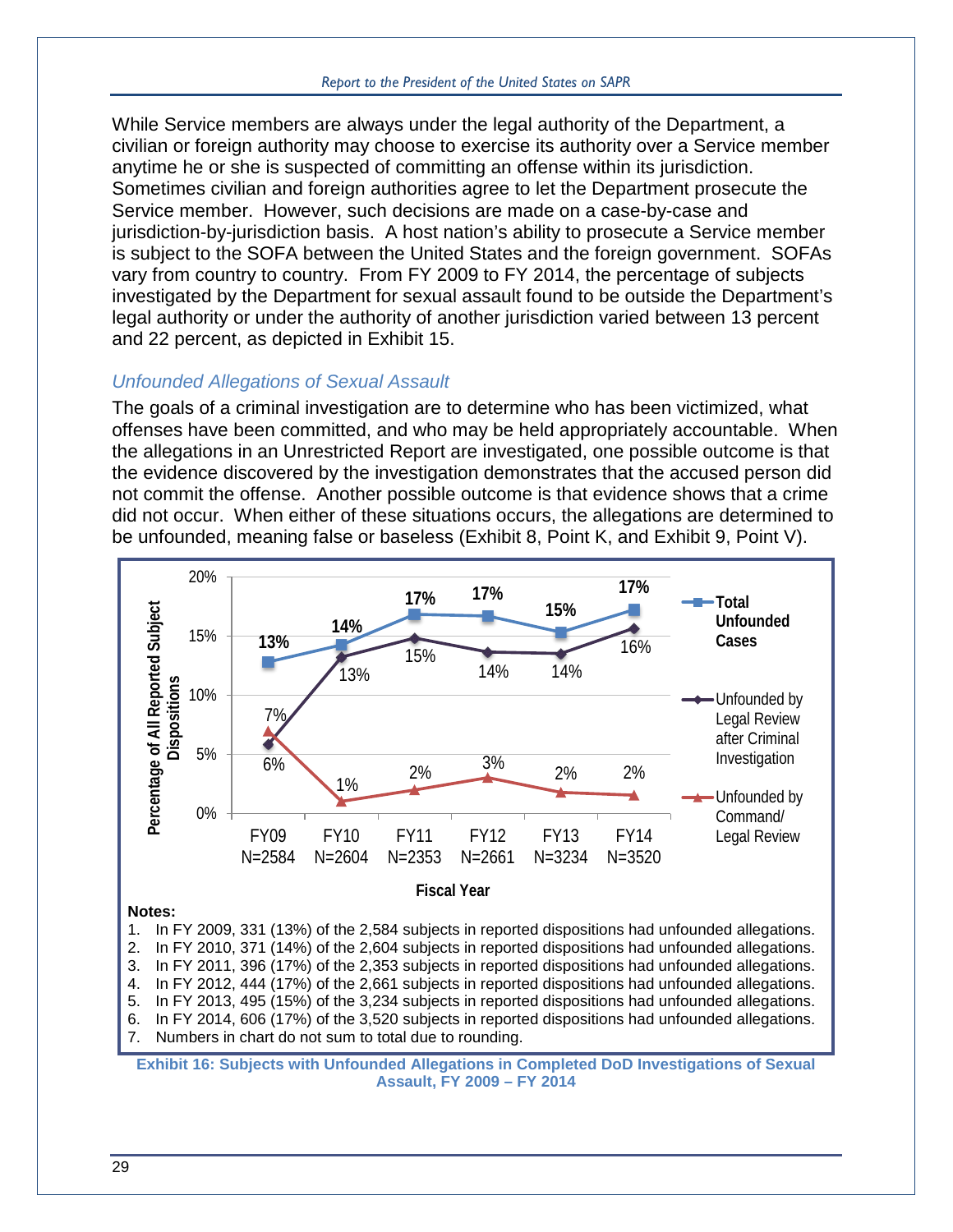While Service members are always under the legal authority of the Department, a civilian or foreign authority may choose to exercise its authority over a Service member anytime he or she is suspected of committing an offense within its jurisdiction. Sometimes civilian and foreign authorities agree to let the Department prosecute the Service member. However, such decisions are made on a case-by-case and jurisdiction-by-jurisdiction basis. A host nation's ability to prosecute a Service member is subject to the SOFA between the United States and the foreign government. SOFAs vary from country to country. From FY 2009 to FY 2014, the percentage of subjects investigated by the Department for sexual assault found to be outside the Department's legal authority or under the authority of another jurisdiction varied between 13 percent and 22 percent, as depicted in [Exhibit 15.](#page-31-0)

#### *Unfounded Allegations of Sexual Assault*

The goals of a criminal investigation are to determine who has been victimized, what offenses have been committed, and who may be held appropriately accountable. When the allegations in an Unrestricted Report are investigated, one possible outcome is that the evidence discovered by the investigation demonstrates that the accused person did not commit the offense. Another possible outcome is that evidence shows that a crime did not occur. When either of these situations occurs, the allegations are determined to be unfounded, meaning false or baseless [\(Exhibit 8,](#page-19-0) Point K, and [Exhibit 9,](#page-22-0) Point V).



<span id="page-32-0"></span>**Assault, FY 2009 – FY 2014**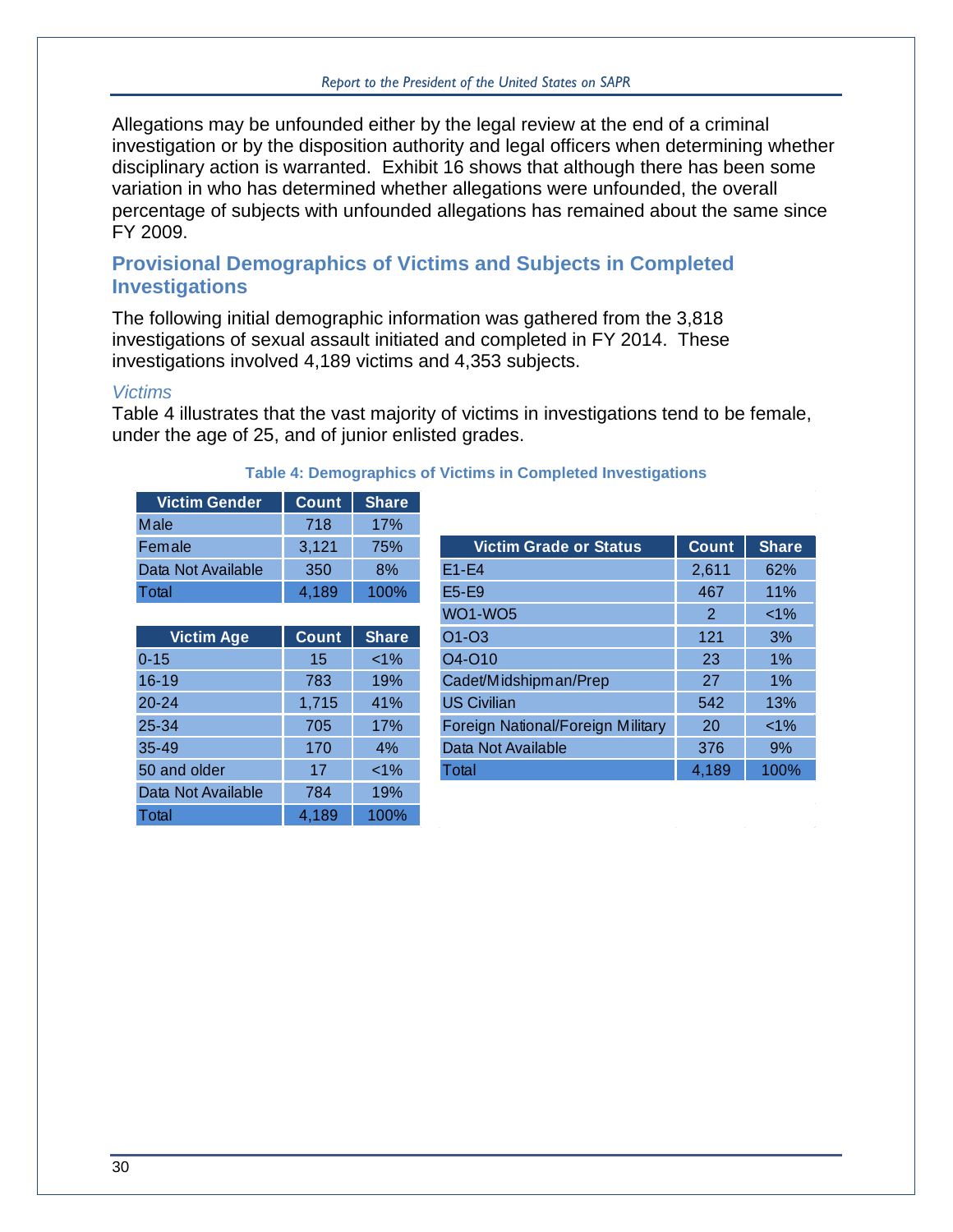Allegations may be unfounded either by the legal review at the end of a criminal investigation or by the disposition authority and legal officers when determining whether disciplinary action is warranted. [Exhibit 16](#page-32-0) shows that although there has been some variation in who has determined whether allegations were unfounded, the overall percentage of subjects with unfounded allegations has remained about the same since FY 2009.

#### **Provisional Demographics of Victims and Subjects in Completed Investigations**

The following initial demographic information was gathered from the 3,818 investigations of sexual assault initiated and completed in FY 2014. These investigations involved 4,189 victims and 4,353 subjects.

#### *Victims*

[Table 4](#page-33-0) illustrates that the vast majority of victims in investigations tend to be female, under the age of 25, and of junior enlisted grades.

<span id="page-33-0"></span>

| <b>Victim Gender</b> | Count | <b>Share</b> |
|----------------------|-------|--------------|
| Male                 | 718   | 17%          |
| Female               | 3,121 | 75%          |
| Data Not Available   | 350   | 8%           |
| Total                | 4.189 | 100%         |

#### **Table 4: Demographics of Victims in Completed Investigations**

| <b>Victim Age</b>  | Count | <b>Share</b> |
|--------------------|-------|--------------|
| $0 - 15$           | 15    | $< 1\%$      |
| $16 - 19$          | 783   | 19%          |
| $20 - 24$          | 1,715 | 41%          |
| 25-34              | 705   | 17%          |
| 35-49              | 170   | 4%           |
| 50 and older       | 17    | $< 1\%$      |
| Data Not Available | 784   | 19%          |
| Total              | 4,189 | 100%         |

| Female             | 3,121 | 75%          | <b>Victim Grade or Status</b>     | Count         | <b>Share</b> |
|--------------------|-------|--------------|-----------------------------------|---------------|--------------|
| Data Not Available | 350   | 8%           | $E1-E4$                           | 2,611         | 62%          |
| Total              | 4,189 | 100%         | E5-E9                             | 467           | 11%          |
|                    |       |              | <b>WO1-WO5</b>                    | $\mathcal{P}$ | $<1\%$       |
| <b>Victim Age</b>  | Count | <b>Share</b> | O1-03                             | 121           | 3%           |
| $0 - 15$           | 15    | $< 1\%$      | O4-O10                            | 23            | 1%           |
| $16-19$            | 783   | 19%          | Cadet/Midshipman/Prep             | 27            | 1%           |
| $20 - 24$          | 1,715 | 41%          | <b>US Civilian</b>                | 542           | 13%          |
| 25-34              | 705   | 17%          | Foreign National/Foreign Military | 20            | $<1\%$       |
| 35-49              | 170   | 4%           | Data Not Available                | 376           | 9%           |
| 50 and older       | 17    | $< 1\%$      | Total                             | 4,189         | 100%         |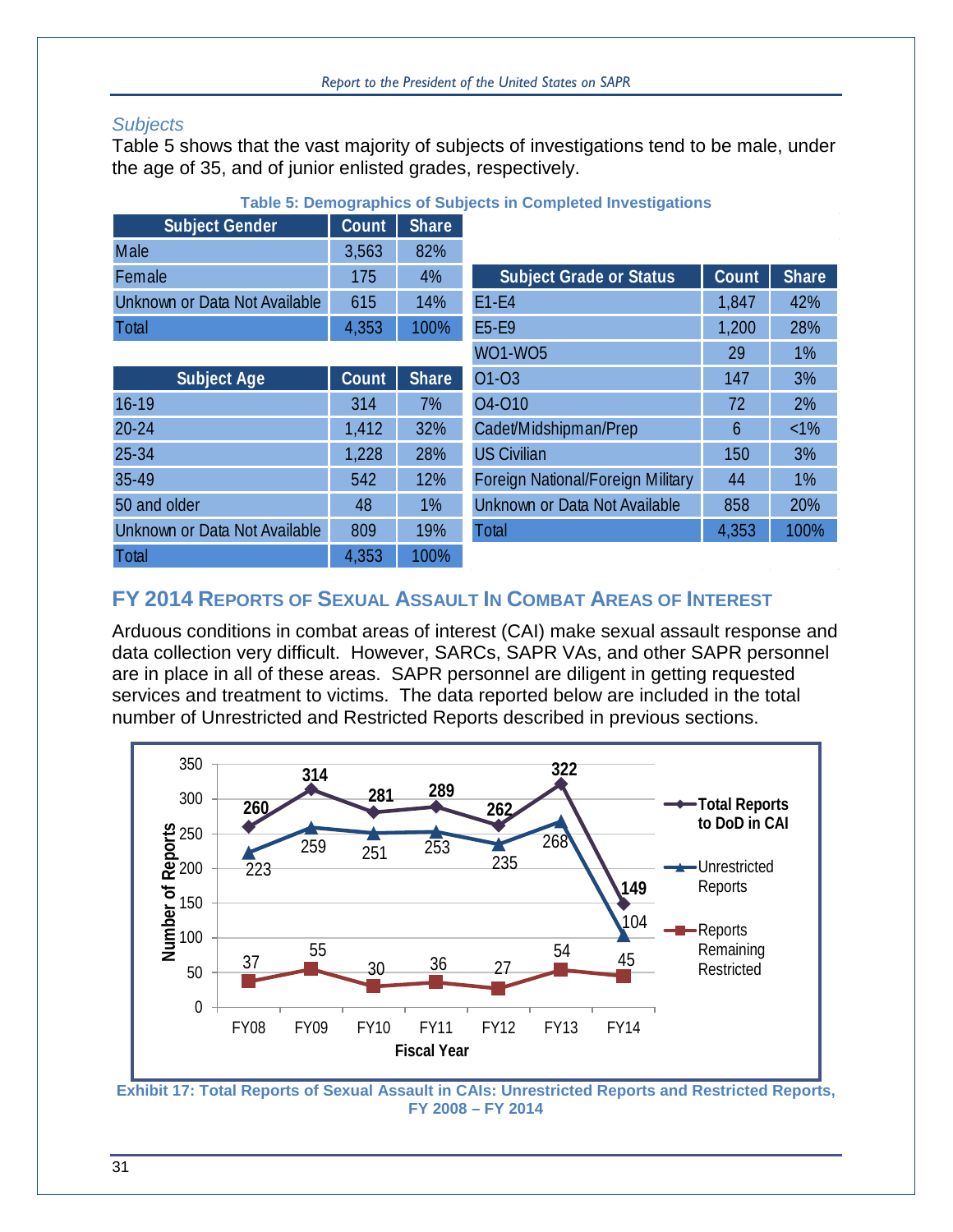#### *Subjects*

[Table 5](#page-34-1) shows that the vast majority of subjects of investigations tend to be male, under the age of 35, and of junior enlisted grades, respectively.

<span id="page-34-1"></span>

| <b>Subject Gender</b>         | Count | Share        |                                   |       |              |
|-------------------------------|-------|--------------|-----------------------------------|-------|--------------|
| Male                          | 3,563 | 82%          |                                   |       |              |
| Female                        | 175   | 4%           | <b>Subject Grade or Status</b>    | Count | <b>Share</b> |
| Unknown or Data Not Available | 615   | 14%          | $E1-E4$                           | 1,847 | 42%          |
| Total                         | 4,353 | 100%         | E5-E9                             | 1,200 | 28%          |
|                               |       |              | <b>WO1-WO5</b>                    | 29    | 1%           |
| <b>Subject Age</b>            | Count | <b>Share</b> | 01-03                             | 147   | 3%           |
| $16-19$                       | 314   | 7%           | 04-010                            | 72    | 2%           |
| $20 - 24$                     | 1,412 | 32%          | Cadet/Midshipman/Prep             | 6     | $<1\%$       |
| 25-34                         | 1,228 | 28%          | <b>US Civilian</b>                | 150   | 3%           |
| 35-49                         | 542   | 12%          | Foreign National/Foreign Military | 44    | 1%           |
| 50 and older                  | 48    | 1%           | Unknown or Data Not Available     | 858   | 20%          |
| Unknown or Data Not Available | 809   | 19%          | Total                             | 4,353 | 100%         |
| Total                         | 4,353 | 100%         |                                   |       |              |

#### **Table 5: Demographics of Subjects in Completed Investigations**

|                       | <u>,,,,,</u> |              |                                   |       |              |
|-----------------------|--------------|--------------|-----------------------------------|-------|--------------|
|                       | 175          | 4%           | <b>Subject Grade or Status</b>    | Count | <b>Share</b> |
| or Data Not Available | 615          | 14%          | $E1-E4$                           | 1,847 | 42%          |
|                       | 4,353        | 100%         | E5-E9                             | 1,200 | 28%          |
|                       |              |              | <b>WO1-WO5</b>                    | 29    | 1%           |
| <b>Subject Age</b>    | Count        | <b>Share</b> | 01-03                             | 147   | 3%           |
|                       | 314          | 7%           | 04-010                            | 72    | 2%           |
|                       | 1,412        | 32%          | Cadet/Midshipman/Prep             | 6     | $<1\%$       |
|                       | 1,228        | 28%          | <b>US Civilian</b>                | 150   | 3%           |
|                       | 542          | 12%          | Foreign National/Foreign Military | 44    | 1%           |
| der                   | 48           | 1%           | Unknown or Data Not Available     | 858   | 20%          |
| or Data Not Available | 809          | 19%          | Total                             | 4,353 | 100%         |

# **FY 2014 REPORTS OF SEXUAL ASSAULT IN COMBAT AREAS OF INTEREST**

Arduous conditions in combat areas of interest (CAI) make sexual assault response and data collection very difficult. However, SARCs, SAPR VAs, and other SAPR personnel are in place in all of these areas. SAPR personnel are diligent in getting requested services and treatment to victims. The data reported below are included in the total number of Unrestricted and Restricted Reports described in previous sections.



<span id="page-34-0"></span>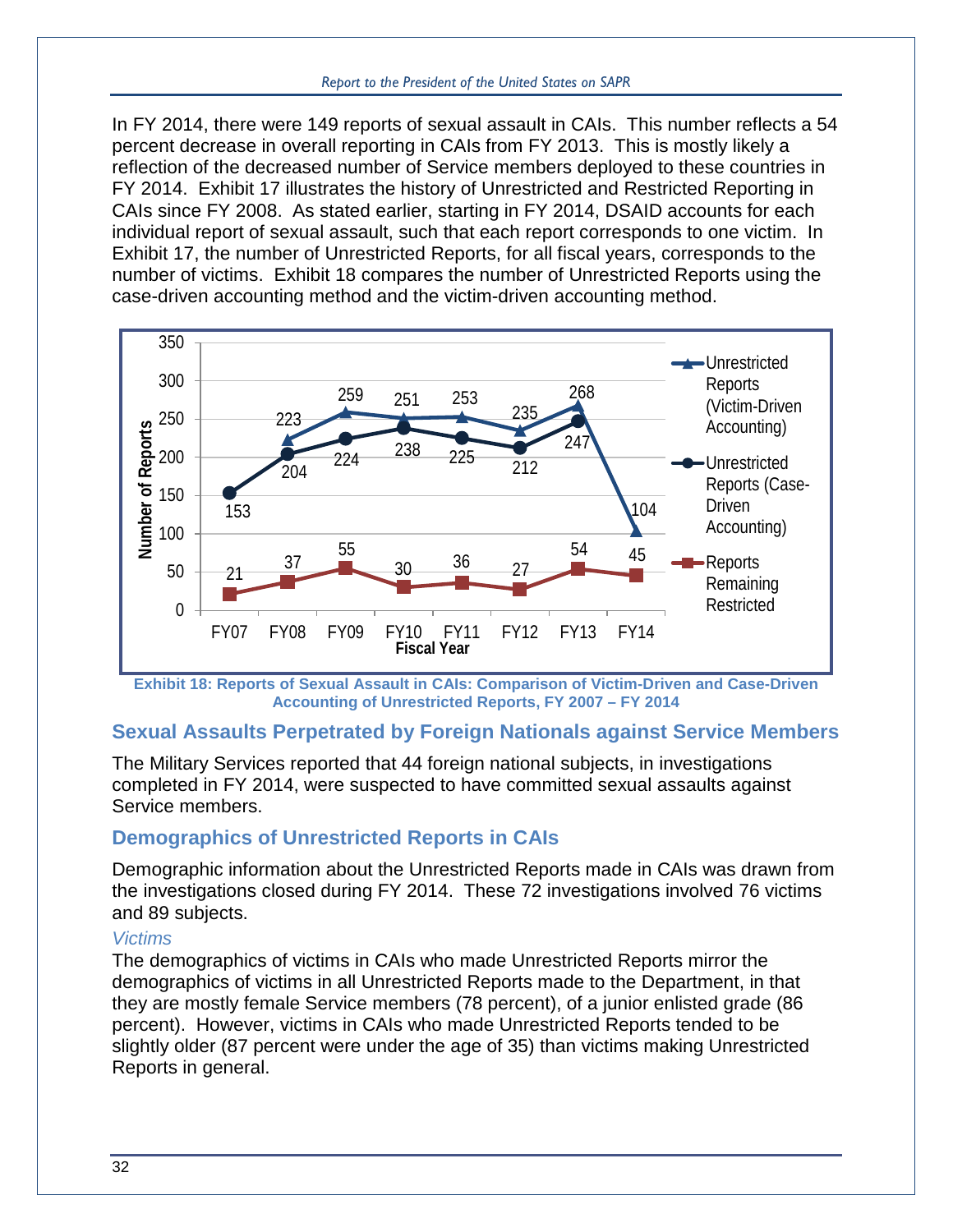In FY 2014, there were 149 reports of sexual assault in CAIs. This number reflects a 54 percent decrease in overall reporting in CAIs from FY 2013. This is mostly likely a reflection of the decreased number of Service members deployed to these countries in FY 2014. [Exhibit 17](#page-34-0) illustrates the history of Unrestricted and Restricted Reporting in CAIs since FY 2008. As stated earlier, starting in FY 2014, DSAID accounts for each individual report of sexual assault, such that each report corresponds to one victim. In [Exhibit 17,](#page-34-0) the number of Unrestricted Reports, for all fiscal years, corresponds to the number of victims. [Exhibit 18](#page-35-0) compares the number of Unrestricted Reports using the case-driven accounting method and the victim-driven accounting method.



<span id="page-35-0"></span>**Exhibit 18: Reports of Sexual Assault in CAIs: Comparison of Victim-Driven and Case-Driven Accounting of Unrestricted Reports, FY 2007 – FY 2014**

## **Sexual Assaults Perpetrated by Foreign Nationals against Service Members**

The Military Services reported that 44 foreign national subjects, in investigations completed in FY 2014, were suspected to have committed sexual assaults against Service members.

# **Demographics of Unrestricted Reports in CAIs**

Demographic information about the Unrestricted Reports made in CAIs was drawn from the investigations closed during FY 2014. These 72 investigations involved 76 victims and 89 subjects.

#### *Victims*

The demographics of victims in CAIs who made Unrestricted Reports mirror the demographics of victims in all Unrestricted Reports made to the Department, in that they are mostly female Service members (78 percent), of a junior enlisted grade (86 percent). However, victims in CAIs who made Unrestricted Reports tended to be slightly older (87 percent were under the age of 35) than victims making Unrestricted Reports in general.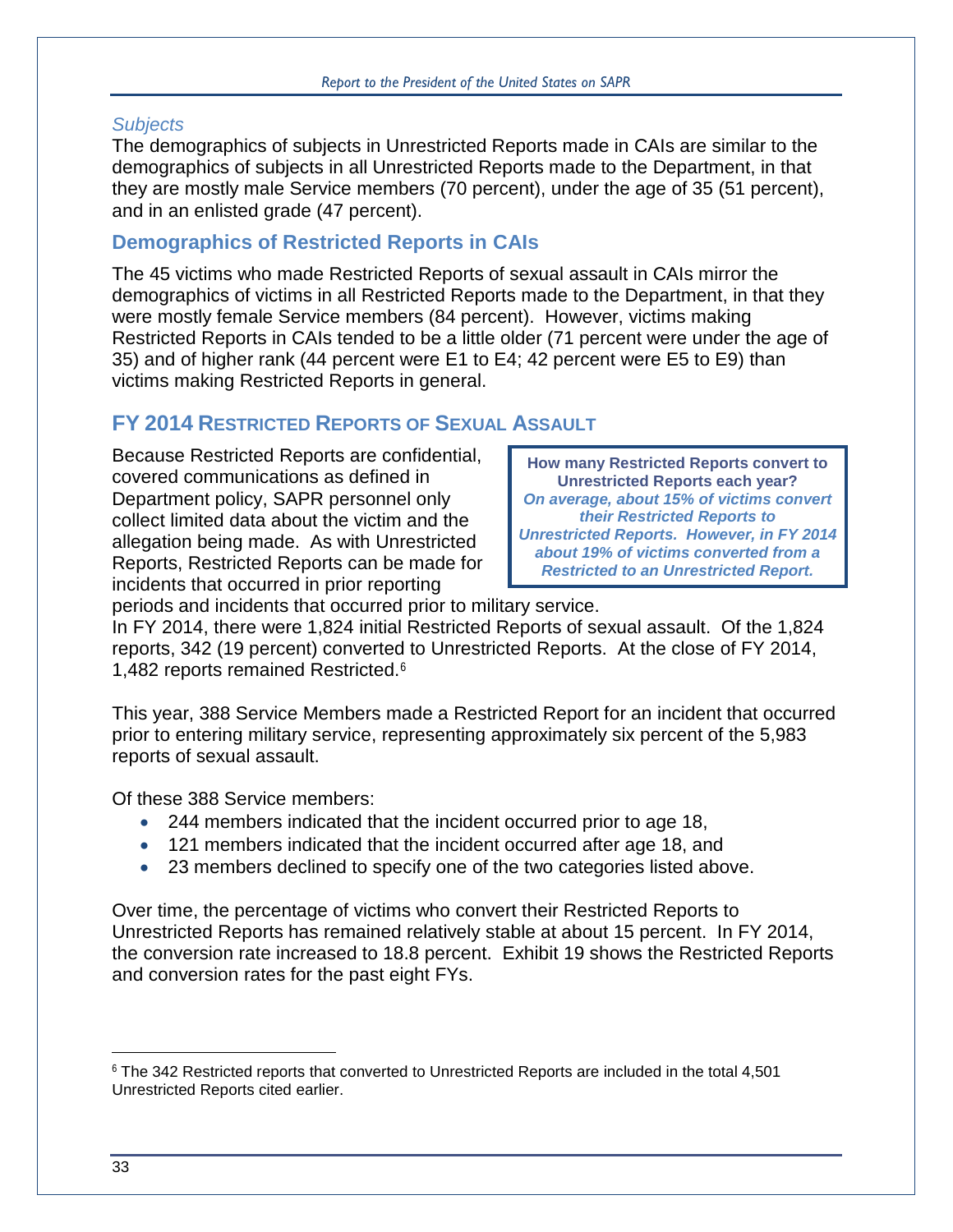### *Subjects*

The demographics of subjects in Unrestricted Reports made in CAIs are similar to the demographics of subjects in all Unrestricted Reports made to the Department, in that they are mostly male Service members (70 percent), under the age of 35 (51 percent), and in an enlisted grade (47 percent).

# **Demographics of Restricted Reports in CAIs**

The 45 victims who made Restricted Reports of sexual assault in CAIs mirror the demographics of victims in all Restricted Reports made to the Department, in that they were mostly female Service members (84 percent). However, victims making Restricted Reports in CAIs tended to be a little older (71 percent were under the age of 35) and of higher rank (44 percent were E1 to E4; 42 percent were E5 to E9) than victims making Restricted Reports in general.

# **FY 2014 RESTRICTED REPORTS OF SEXUAL ASSAULT**

Because Restricted Reports are confidential, covered communications as defined in Department policy, SAPR personnel only collect limited data about the victim and the allegation being made. As with Unrestricted Reports, Restricted Reports can be made for incidents that occurred in prior reporting

**How many Restricted Reports convert to Unrestricted Reports each year?** *On average, about 15% of victims convert their Restricted Reports to Unrestricted Reports. However, in FY 2014 about 19% of victims converted from a Restricted to an Unrestricted Report.*

periods and incidents that occurred prior to military service.

In FY 2014, there were 1,824 initial Restricted Reports of sexual assault. Of the 1,824 reports, 342 (19 percent) converted to Unrestricted Reports. At the close of FY 2014, 1,482 reports remained Restricted.[6](#page-36-0)

This year, 388 Service Members made a Restricted Report for an incident that occurred prior to entering military service, representing approximately six percent of the 5,983 reports of sexual assault.

Of these 388 Service members:

- 244 members indicated that the incident occurred prior to age 18,
- 121 members indicated that the incident occurred after age 18, and
- 23 members declined to specify one of the two categories listed above.

Over time, the percentage of victims who convert their Restricted Reports to Unrestricted Reports has remained relatively stable at about 15 percent. In FY 2014, the conversion rate increased to 18.8 percent. [Exhibit 19](#page-37-0) shows the Restricted Reports and conversion rates for the past eight FYs.

 $\overline{a}$ 

<span id="page-36-0"></span><sup>6</sup> The 342 Restricted reports that converted to Unrestricted Reports are included in the total 4,501 Unrestricted Reports cited earlier.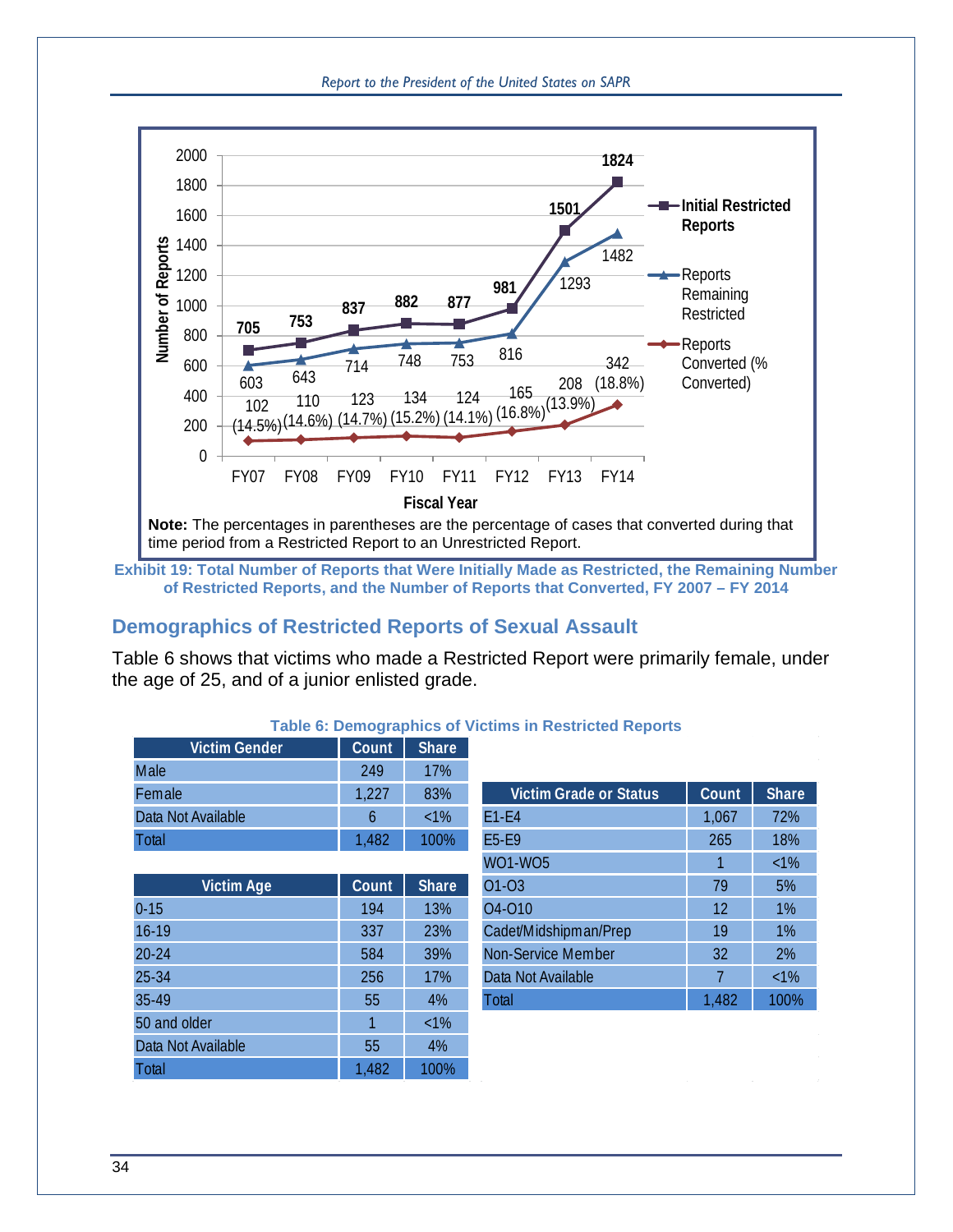



<span id="page-37-0"></span>**Exhibit 19: Total Number of Reports that Were Initially Made as Restricted, the Remaining Number of Restricted Reports, and the Number of Reports that Converted, FY 2007 – FY 2014**

# **Demographics of Restricted Reports of Sexual Assault**

[Table 6](#page-37-1) shows that victims who made a Restricted Report were primarily female, under the age of 25, and of a junior enlisted grade.

<span id="page-37-1"></span>

| Victim Gender                          | Count            | <b>Share</b> |                        |              |                |
|----------------------------------------|------------------|--------------|------------------------|--------------|----------------|
| Male                                   | 249              | 17%          |                        |              |                |
| Female                                 | 1,227            | 83%          | Victim Grade or Status | <b>Count</b> | <b>Share</b>   |
| Data Not Available                     | 6                | $<1\%$       | $F1-F4$                | 1.067        | 72%            |
| <b>Total</b>                           | 1,482            | 100%         | <b>F5-F9</b>           | 265          | 18%            |
|                                        |                  |              | WO1-WO5                |              | $<1\%$         |
| $M_{\text{min}}$ $\Delta_{\text{max}}$ | $0 \sim 10^{-4}$ | Chars        | $\bigcap_{1}$          | 70           | E <sub>0</sub> |

#### **Table 6: Demographics of Victims in Restricted Reports**

|       |              | wu wu                     |       | <b>NIV</b> |
|-------|--------------|---------------------------|-------|------------|
| Count | <b>Share</b> | 01-03                     | 79    | 5%         |
| 194   | 13%          | 04-010                    | 12    | 1%         |
| 337   | 23%          | Cadet/Midshipman/Prep     | 19    | $1\%$      |
| 584   | 39%          | <b>Non-Service Member</b> | 32    | 2%         |
| 256   | 17%          | Data Not Available        |       | $<1\%$     |
| 55    | 4%           | Total                     | 1,482 | 100%       |
|       | $<1\%$       |                           |       |            |
| 55    | 4%           |                           |       |            |
| 1,482 | 100%         |                           |       |            |
|       |              |                           |       |            |

|            | 1,227 | 83%          | <b>Victim Grade or Status</b>   | <b>Count</b> | Share  |
|------------|-------|--------------|---------------------------------|--------------|--------|
| vailable   | 6     | $<1\%$       | $E1-E4$                         | 1,067        | 72%    |
|            | 1,482 | 100%         | E5-E9                           | 265          | 18%    |
|            |       |              | <b>WO1-WO5</b>                  |              | $<1\%$ |
| Victim Age | Count | <b>Share</b> | 01-03                           | 79           | 5%     |
|            | 194   | 13%          | O <sub>4</sub> -O <sub>10</sub> | 12           | 1%     |
|            | 337   | 23%          | Cadet/Midshipman/Prep           | 19           | 1%     |
|            | 584   | 39%          | Non-Service Member              | 32           | 2%     |
|            | 256   | 17%          | Data Not Available              |              | $<1\%$ |
|            | 55    | 4%           | Total                           | 1,482        | 100%   |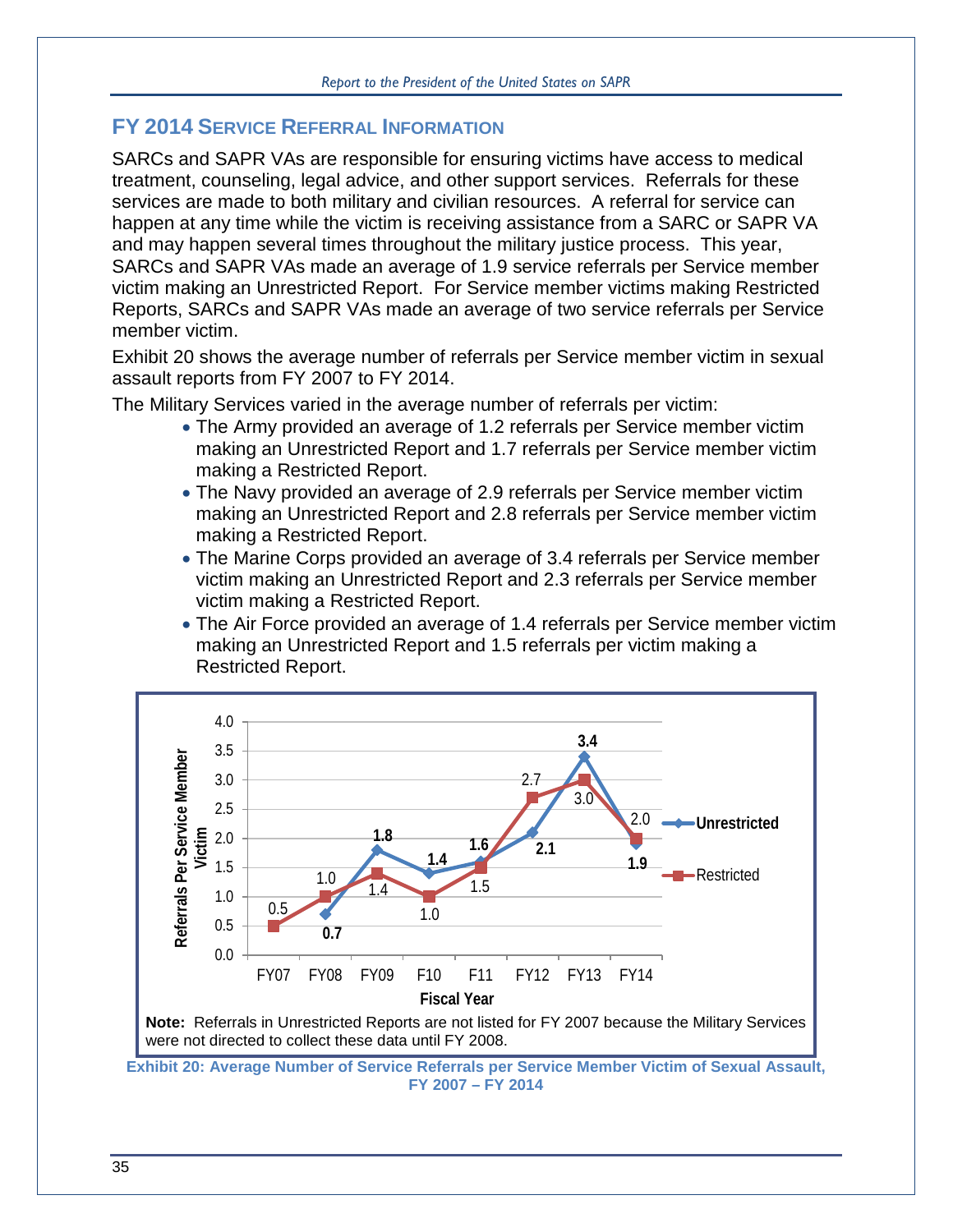# **FY 2014 SERVICE REFERRAL INFORMATION**

SARCs and SAPR VAs are responsible for ensuring victims have access to medical treatment, counseling, legal advice, and other support services. Referrals for these services are made to both military and civilian resources. A referral for service can happen at any time while the victim is receiving assistance from a SARC or SAPR VA and may happen several times throughout the military justice process. This year, SARCs and SAPR VAs made an average of 1.9 service referrals per Service member victim making an Unrestricted Report. For Service member victims making Restricted Reports, SARCs and SAPR VAs made an average of two service referrals per Service member victim.

[Exhibit](#page-38-1) 20 shows the average number of referrals per Service member victim in sexual assault reports from FY 2007 to FY 2014.

The Military Services varied in the average number of referrals per victim:

- The Army provided an average of 1.2 referrals per Service member victim making an Unrestricted Report and 1.7 referrals per Service member victim making a Restricted Report.
- The Navy provided an average of 2.9 referrals per Service member victim making an Unrestricted Report and 2.8 referrals per Service member victim making a Restricted Report.
- The Marine Corps provided an average of 3.4 referrals per Service member victim making an Unrestricted Report and 2.3 referrals per Service member victim making a Restricted Report.
- <span id="page-38-1"></span>• The Air Force provided an average of 1.4 referrals per Service member victim making an Unrestricted Report and 1.5 referrals per victim making a Restricted Report.





<span id="page-38-0"></span>**Exhibit 20: Average Number of Service Referrals per Service Member Victim of Sexual Assault, FY 2007 – FY 2014**